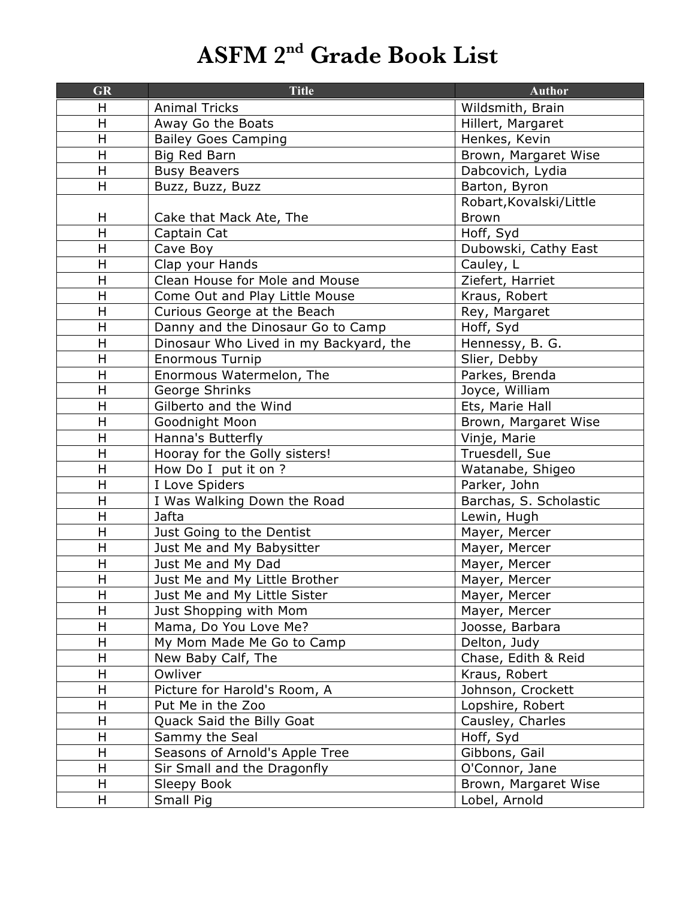## **ASFM 2nd Grade Book List**

| <b>GR</b>               | <b>Title</b>                           | <b>Author</b>           |
|-------------------------|----------------------------------------|-------------------------|
| H                       | <b>Animal Tricks</b>                   | Wildsmith, Brain        |
| H                       | Away Go the Boats                      | Hillert, Margaret       |
| H                       | <b>Bailey Goes Camping</b>             | Henkes, Kevin           |
| $\mathsf{H}$            | Big Red Barn                           | Brown, Margaret Wise    |
| H                       | <b>Busy Beavers</b>                    | Dabcovich, Lydia        |
| H                       | Buzz, Buzz, Buzz                       | Barton, Byron           |
|                         |                                        | Robart, Kovalski/Little |
| H                       | Cake that Mack Ate, The                | <b>Brown</b>            |
| H                       | Captain Cat                            | Hoff, Syd               |
| H                       | Cave Boy                               | Dubowski, Cathy East    |
| H                       | Clap your Hands                        | Cauley, L               |
| H                       | Clean House for Mole and Mouse         | Ziefert, Harriet        |
| $\mathsf{H}$            | Come Out and Play Little Mouse         | Kraus, Robert           |
| $\overline{\mathsf{H}}$ | Curious George at the Beach            | Rey, Margaret           |
| H                       | Danny and the Dinosaur Go to Camp      | Hoff, Syd               |
| $\overline{\mathsf{H}}$ | Dinosaur Who Lived in my Backyard, the | Hennessy, B. G.         |
| H                       | <b>Enormous Turnip</b>                 | Slier, Debby            |
| H                       | Enormous Watermelon, The               | Parkes, Brenda          |
| H                       | George Shrinks                         | Joyce, William          |
| H                       | Gilberto and the Wind                  | Ets, Marie Hall         |
| H                       | Goodnight Moon                         | Brown, Margaret Wise    |
| $\overline{\mathsf{H}}$ | Hanna's Butterfly                      | Vinje, Marie            |
| H                       | Hooray for the Golly sisters!          | Truesdell, Sue          |
| H                       | How Do I put it on ?                   | Watanabe, Shigeo        |
| $\mathsf{H}$            | I Love Spiders                         | Parker, John            |
| H                       | I Was Walking Down the Road            | Barchas, S. Scholastic  |
| $\overline{\mathsf{H}}$ | Jafta                                  | Lewin, Hugh             |
| H                       | Just Going to the Dentist              | Mayer, Mercer           |
| H                       | Just Me and My Babysitter              | Mayer, Mercer           |
| $\mathsf{H}$            | Just Me and My Dad                     | Mayer, Mercer           |
| H                       | Just Me and My Little Brother          | Mayer, Mercer           |
| Н                       | Just Me and My Little Sister           | Mayer, Mercer           |
| Η                       | Just Shopping with Mom                 | Mayer, Mercer           |
| H                       | Mama, Do You Love Me?                  | Joosse, Barbara         |
| H                       | My Mom Made Me Go to Camp              | Delton, Judy            |
| H                       | New Baby Calf, The                     | Chase, Edith & Reid     |
| $\sf H$                 | Owliver                                | Kraus, Robert           |
| H                       | Picture for Harold's Room, A           | Johnson, Crockett       |
| H                       | Put Me in the Zoo                      | Lopshire, Robert        |
| H                       | Quack Said the Billy Goat              | Causley, Charles        |
| Н                       | Sammy the Seal                         | Hoff, Syd               |
| H                       | Seasons of Arnold's Apple Tree         | Gibbons, Gail           |
| H                       |                                        | O'Connor, Jane          |
|                         | Sir Small and the Dragonfly            |                         |
| Н                       | Sleepy Book                            | Brown, Margaret Wise    |
| H.                      | Small Pig                              | Lobel, Arnold           |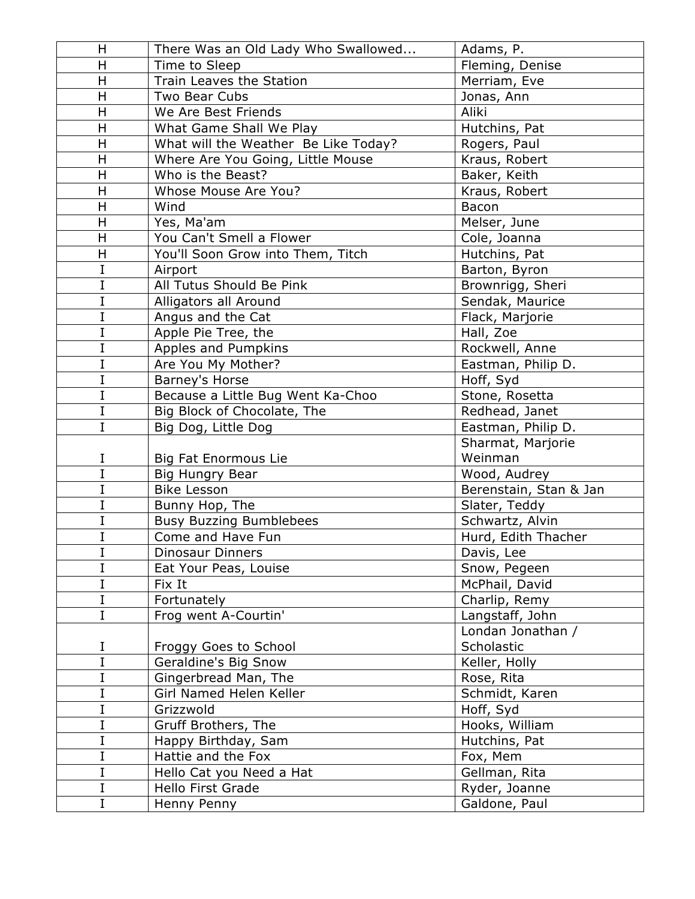| H              | There Was an Old Lady Who Swallowed  | Adams, P.              |
|----------------|--------------------------------------|------------------------|
| H              | Time to Sleep                        | Fleming, Denise        |
| H              | Train Leaves the Station             | Merriam, Eve           |
| H              | Two Bear Cubs                        | Jonas, Ann             |
| H              | We Are Best Friends                  | Aliki                  |
| H              | What Game Shall We Play              | Hutchins, Pat          |
| H              | What will the Weather Be Like Today? | Rogers, Paul           |
| Н              | Where Are You Going, Little Mouse    | Kraus, Robert          |
| H              | Who is the Beast?                    | Baker, Keith           |
| H              | Whose Mouse Are You?                 | Kraus, Robert          |
| H              | Wind                                 | Bacon                  |
| H              | Yes, Ma'am                           | Melser, June           |
| H              | You Can't Smell a Flower             | Cole, Joanna           |
| H              | You'll Soon Grow into Them, Titch    | Hutchins, Pat          |
| I              | Airport                              | Barton, Byron          |
| I              | All Tutus Should Be Pink             | Brownrigg, Sheri       |
| I              | Alligators all Around                | Sendak, Maurice        |
| I              | Angus and the Cat                    | Flack, Marjorie        |
| I              | Apple Pie Tree, the                  | Hall, Zoe              |
| I              | Apples and Pumpkins                  | Rockwell, Anne         |
| I              | Are You My Mother?                   | Eastman, Philip D.     |
| I              | Barney's Horse                       | Hoff, Syd              |
| I              | Because a Little Bug Went Ka-Choo    | Stone, Rosetta         |
| I              | Big Block of Chocolate, The          | Redhead, Janet         |
| $\overline{I}$ | Big Dog, Little Dog                  | Eastman, Philip D.     |
|                |                                      | Sharmat, Marjorie      |
| I              | <b>Big Fat Enormous Lie</b>          | Weinman                |
| I              | <b>Big Hungry Bear</b>               | Wood, Audrey           |
| I              | <b>Bike Lesson</b>                   | Berenstain, Stan & Jan |
| I              | Bunny Hop, The                       | Slater, Teddy          |
| I              | <b>Busy Buzzing Bumblebees</b>       | Schwartz, Alvin        |
| I              | Come and Have Fun                    | Hurd, Edith Thacher    |
| $\mathbf I$    | Dinosaur Dinners                     | Davis, Lee             |
| I              | Eat Your Peas, Louise                | Snow, Pegeen           |
| I              | Fix It                               | McPhail, David         |
| I              | Fortunately                          | Charlip, Remy          |
| I              | Frog went A-Courtin'                 | Langstaff, John        |
|                |                                      | Londan Jonathan /      |
| I              | Froggy Goes to School                | Scholastic             |
| I              | Geraldine's Big Snow                 | Keller, Holly          |
| I              | Gingerbread Man, The                 | Rose, Rita             |
| I              | Girl Named Helen Keller              | Schmidt, Karen         |
| I              | Grizzwold                            | Hoff, Syd              |
| I              | Gruff Brothers, The                  | Hooks, William         |
| I              | Happy Birthday, Sam                  | Hutchins, Pat          |
| I              | Hattie and the Fox                   | Fox, Mem               |
| I              | Hello Cat you Need a Hat             | Gellman, Rita          |
| $\mathbf I$    | <b>Hello First Grade</b>             | Ryder, Joanne          |
| I              | Henny Penny                          | Galdone, Paul          |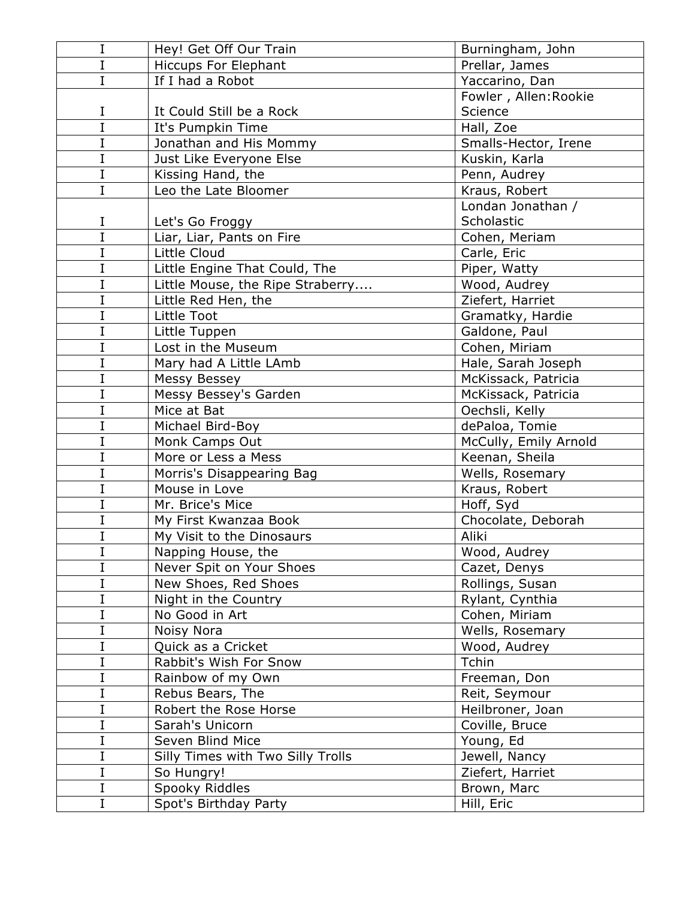| I              | Hey! Get Off Our Train            | Burningham, John      |
|----------------|-----------------------------------|-----------------------|
| I              | <b>Hiccups For Elephant</b>       | Prellar, James        |
| $\overline{I}$ | If I had a Robot                  | Yaccarino, Dan        |
|                |                                   | Fowler, Allen: Rookie |
| I              | It Could Still be a Rock          | Science               |
| $\overline{I}$ | It's Pumpkin Time                 | Hall, Zoe             |
| I              | Jonathan and His Mommy            | Smalls-Hector, Irene  |
| I              | Just Like Everyone Else           | Kuskin, Karla         |
| $\overline{I}$ | Kissing Hand, the                 | Penn, Audrey          |
| $\overline{I}$ | Leo the Late Bloomer              | Kraus, Robert         |
|                |                                   | Londan Jonathan /     |
| I              | Let's Go Froggy                   | Scholastic            |
| $\overline{I}$ | Liar, Liar, Pants on Fire         | Cohen, Meriam         |
| $\overline{I}$ | Little Cloud                      | Carle, Eric           |
| I              | Little Engine That Could, The     | Piper, Watty          |
| $\overline{I}$ | Little Mouse, the Ripe Straberry  | Wood, Audrey          |
| I              | Little Red Hen, the               | Ziefert, Harriet      |
| $\overline{I}$ | Little Toot                       | Gramatky, Hardie      |
| I              | Little Tuppen                     | Galdone, Paul         |
| $\overline{I}$ | Lost in the Museum                | Cohen, Miriam         |
| I              | Mary had A Little LAmb            | Hale, Sarah Joseph    |
| I              | Messy Bessey                      | McKissack, Patricia   |
| I              | Messy Bessey's Garden             | McKissack, Patricia   |
| I              | Mice at Bat                       | Oechsli, Kelly        |
| I              | Michael Bird-Boy                  | dePaloa, Tomie        |
| $\overline{I}$ | Monk Camps Out                    | McCully, Emily Arnold |
| I              | More or Less a Mess               | Keenan, Sheila        |
| $\overline{I}$ | Morris's Disappearing Bag         | Wells, Rosemary       |
| I              | Mouse in Love                     | Kraus, Robert         |
| I              | Mr. Brice's Mice                  | Hoff, Syd             |
| I              | My First Kwanzaa Book             | Chocolate, Deborah    |
| $\overline{I}$ | My Visit to the Dinosaurs         | Aliki                 |
| $\mathbf I$    | Napping House, the                | Wood, Audrey          |
| $\overline{I}$ | Never Spit on Your Shoes          | Cazet, Denys          |
| I              | New Shoes, Red Shoes              | Rollings, Susan       |
| $\overline{I}$ | Night in the Country              | Rylant, Cynthia       |
| I              | No Good in Art                    | Cohen, Miriam         |
| I              | Noisy Nora                        | Wells, Rosemary       |
| I              | Quick as a Cricket                | Wood, Audrey          |
| I              | Rabbit's Wish For Snow            | Tchin                 |
| I              | Rainbow of my Own                 | Freeman, Don          |
| I              | Rebus Bears, The                  | Reit, Seymour         |
| I              | Robert the Rose Horse             | Heilbroner, Joan      |
| I              | Sarah's Unicorn                   | Coville, Bruce        |
| I              | Seven Blind Mice                  | Young, Ed             |
| I              | Silly Times with Two Silly Trolls | Jewell, Nancy         |
| I              | So Hungry!                        | Ziefert, Harriet      |
| $\mathbf I$    | Spooky Riddles                    | Brown, Marc           |
| $\mathbf I$    | Spot's Birthday Party             | Hill, Eric            |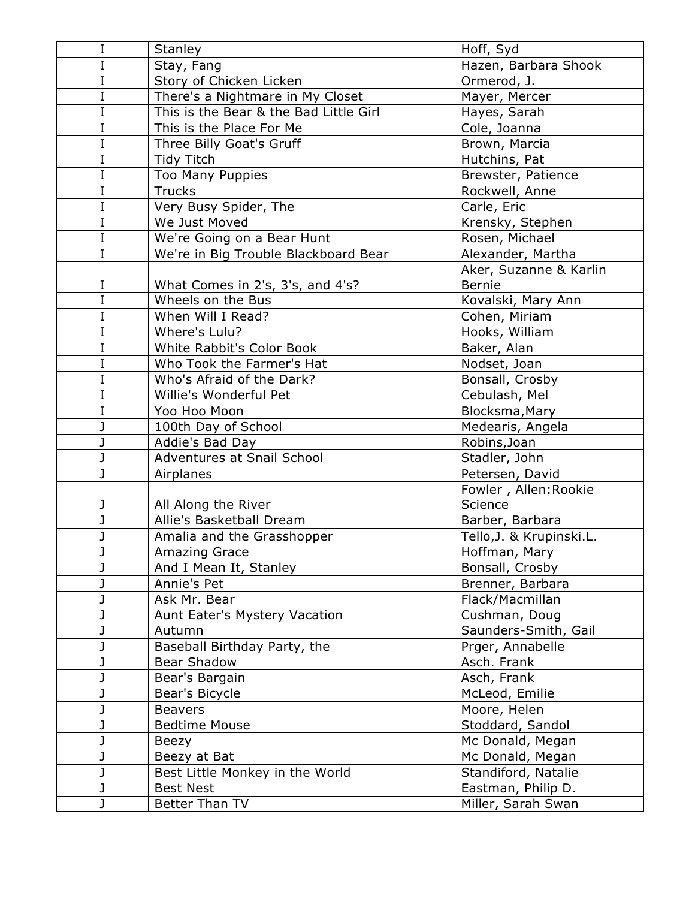| I | Stanley                                | Hoff, Syd                |
|---|----------------------------------------|--------------------------|
| I | Stay, Fang                             | Hazen, Barbara Shook     |
| I | Story of Chicken Licken                | Ormerod, J.              |
| I | There's a Nightmare in My Closet       | Mayer, Mercer            |
| I | This is the Bear & the Bad Little Girl | Hayes, Sarah             |
| I | This is the Place For Me               | Cole, Joanna             |
| I | Three Billy Goat's Gruff               | Brown, Marcia            |
| I | Tidy Titch                             | Hutchins, Pat            |
| I | <b>Too Many Puppies</b>                | Brewster, Patience       |
| I | <b>Trucks</b>                          | Rockwell, Anne           |
| I | Very Busy Spider, The                  | Carle, Eric              |
| I | We Just Moved                          | Krensky, Stephen         |
| I | We're Going on a Bear Hunt             | Rosen, Michael           |
| I | We're in Big Trouble Blackboard Bear   | Alexander, Martha        |
|   |                                        | Aker, Suzanne & Karlin   |
| I | What Comes in 2's, 3's, and 4's?       | Bernie                   |
| Ī | Wheels on the Bus                      | Kovalski, Mary Ann       |
| I | When Will I Read?                      | Cohen, Miriam            |
| I | Where's Lulu?                          | Hooks, William           |
| I | White Rabbit's Color Book              | Baker, Alan              |
| I | Who Took the Farmer's Hat              | Nodset, Joan             |
| I | Who's Afraid of the Dark?              | Bonsall, Crosby          |
| I | Willie's Wonderful Pet                 | Cebulash, Mel            |
| I | Yoo Hoo Moon                           | Blocksma, Mary           |
| J | 100th Day of School                    | Medearis, Angela         |
| J | Addie's Bad Day                        | Robins, Joan             |
| J | Adventures at Snail School             | Stadler, John            |
| J | Airplanes                              | Petersen, David          |
|   |                                        | Fowler, Allen: Rookie    |
| J | All Along the River                    | Science                  |
|   | Allie's Basketball Dream               | Barber, Barbara          |
| J | Amalia and the Grasshopper             | Tello, J. & Krupinski.L. |
| J | Amazing Grace                          | Hoffman, Mary            |
| J | And I Mean It, Stanley                 | Bonsall, Crosby          |
|   | Annie's Pet                            | Brenner, Barbara         |
| J | Ask Mr. Bear                           | Flack/Macmillan          |
|   | Aunt Eater's Mystery Vacation          | Cushman, Doug            |
|   | Autumn                                 | Saunders-Smith, Gail     |
|   | Baseball Birthday Party, the           | Prger, Annabelle         |
|   | <b>Bear Shadow</b>                     | Asch. Frank              |
|   | Bear's Bargain                         | Asch, Frank              |
| J | Bear's Bicycle                         | McLeod, Emilie           |
|   | <b>Beavers</b>                         | Moore, Helen             |
|   | <b>Bedtime Mouse</b>                   | Stoddard, Sandol         |
| J | Beezy                                  | Mc Donald, Megan         |
| J | Beezy at Bat                           | Mc Donald, Megan         |
|   | Best Little Monkey in the World        | Standiford, Natalie      |
| J | <b>Best Nest</b>                       | Eastman, Philip D.       |
| J | Better Than TV                         | Miller, Sarah Swan       |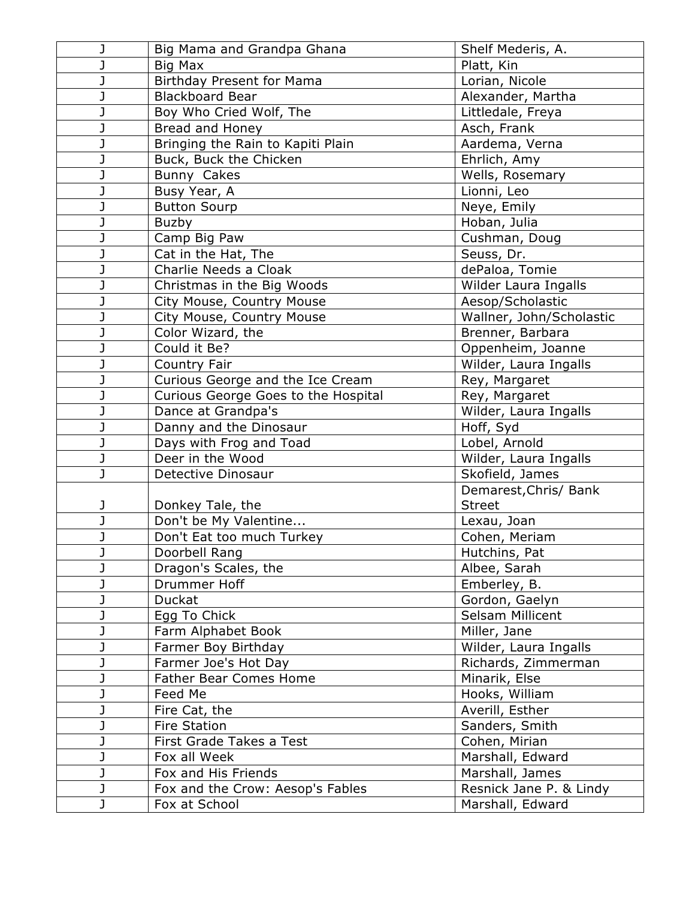|   | Big Mama and Grandpa Ghana          | Shelf Mederis, A.        |
|---|-------------------------------------|--------------------------|
|   | Big Max                             | Platt, Kin               |
|   | Birthday Present for Mama           | Lorian, Nicole           |
|   | <b>Blackboard Bear</b>              | Alexander, Martha        |
|   | Boy Who Cried Wolf, The             | Littledale, Freya        |
|   | Bread and Honey                     | Asch, Frank              |
|   | Bringing the Rain to Kapiti Plain   | Aardema, Verna           |
|   | Buck, Buck the Chicken              | Ehrlich, Amy             |
| J | Bunny Cakes                         | Wells, Rosemary          |
|   | Busy Year, A                        | Lionni, Leo              |
|   | <b>Button Sourp</b>                 | Neye, Emily              |
| J | Buzby                               | Hoban, Julia             |
| J | Camp Big Paw                        | Cushman, Doug            |
| J | Cat in the Hat, The                 | Seuss, Dr.               |
|   | Charlie Needs a Cloak               | dePaloa, Tomie           |
|   | Christmas in the Big Woods          | Wilder Laura Ingalls     |
|   | City Mouse, Country Mouse           | Aesop/Scholastic         |
|   | City Mouse, Country Mouse           | Wallner, John/Scholastic |
| J | Color Wizard, the                   | Brenner, Barbara         |
|   | Could it Be?                        | Oppenheim, Joanne        |
| J | Country Fair                        | Wilder, Laura Ingalls    |
|   | Curious George and the Ice Cream    | Rey, Margaret            |
|   | Curious George Goes to the Hospital | Rey, Margaret            |
|   | Dance at Grandpa's                  | Wilder, Laura Ingalls    |
| J | Danny and the Dinosaur              | Hoff, Syd                |
| J | Days with Frog and Toad             | Lobel, Arnold            |
| J | Deer in the Wood                    | Wilder, Laura Ingalls    |
| J | Detective Dinosaur                  | Skofield, James          |
|   |                                     | Demarest, Chris/ Bank    |
| J | Donkey Tale, the                    | <b>Street</b>            |
| J | Don't be My Valentine               | Lexau, Joan              |
| J | Don't Eat too much Turkey           | Cohen, Meriam            |
| J | Doorbell Rang                       | Hutchins, Pat            |
|   | Dragon's Scales, the                | Albee, Sarah             |
| J | Drummer Hoff                        | Emberley, B.             |
| J | Duckat                              | Gordon, Gaelyn           |
|   | Egg To Chick                        | Selsam Millicent         |
|   | Farm Alphabet Book                  | Miller, Jane             |
| J | Farmer Boy Birthday                 | Wilder, Laura Ingalls    |
|   | Farmer Joe's Hot Day                | Richards, Zimmerman      |
|   | <b>Father Bear Comes Home</b>       | Minarik, Else            |
|   | Feed Me                             | Hooks, William           |
| J | Fire Cat, the                       | Averill, Esther          |
|   | <b>Fire Station</b>                 | Sanders, Smith           |
| J | First Grade Takes a Test            | Cohen, Mirian            |
|   | Fox all Week                        | Marshall, Edward         |
|   | Fox and His Friends                 | Marshall, James          |
| J | Fox and the Crow: Aesop's Fables    | Resnick Jane P. & Lindy  |
|   | Fox at School                       | Marshall, Edward         |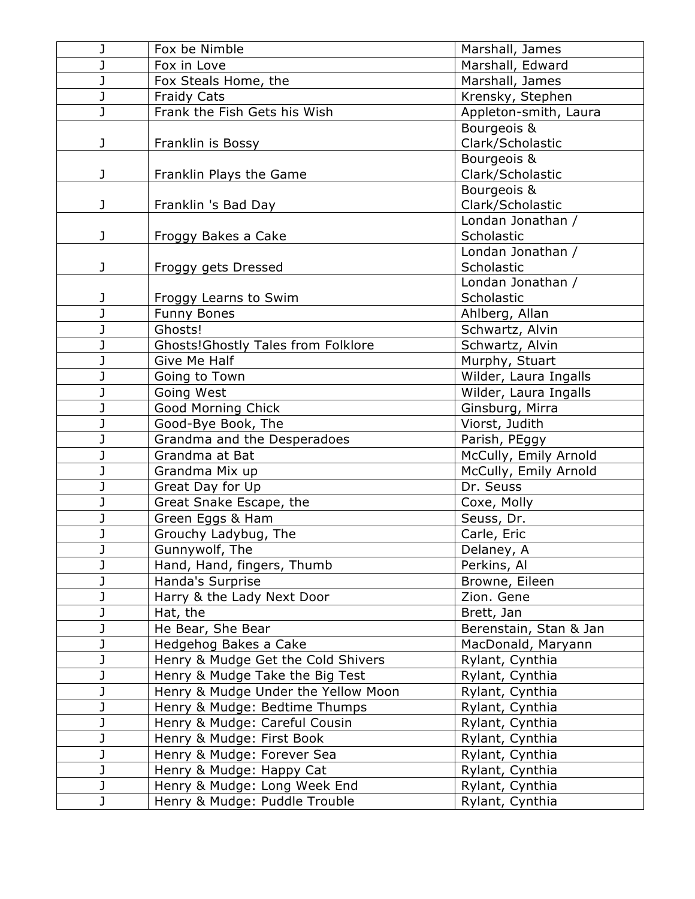| J | Fox be Nimble                             | Marshall, James        |
|---|-------------------------------------------|------------------------|
| J | Fox in Love                               | Marshall, Edward       |
| J | Fox Steals Home, the                      | Marshall, James        |
| J | <b>Fraidy Cats</b>                        | Krensky, Stephen       |
| J | Frank the Fish Gets his Wish              | Appleton-smith, Laura  |
|   |                                           | Bourgeois &            |
| J | Franklin is Bossy                         | Clark/Scholastic       |
|   |                                           | Bourgeois &            |
| J | Franklin Plays the Game                   | Clark/Scholastic       |
|   |                                           | Bourgeois &            |
| J | Franklin 's Bad Day                       | Clark/Scholastic       |
|   |                                           | Londan Jonathan /      |
| J | Froggy Bakes a Cake                       | Scholastic             |
|   |                                           | Londan Jonathan /      |
| J | Froggy gets Dressed                       | Scholastic             |
|   |                                           | Londan Jonathan /      |
| J | Froggy Learns to Swim                     | Scholastic             |
| J | <b>Funny Bones</b>                        | Ahlberg, Allan         |
| J | Ghosts!                                   | Schwartz, Alvin        |
| J | <b>Ghosts!Ghostly Tales from Folklore</b> | Schwartz, Alvin        |
| J | <b>Give Me Half</b>                       | Murphy, Stuart         |
| J | Going to Town                             | Wilder, Laura Ingalls  |
| J | Going West                                | Wilder, Laura Ingalls  |
| J | Good Morning Chick                        | Ginsburg, Mirra        |
| J | Good-Bye Book, The                        | Viorst, Judith         |
| J | Grandma and the Desperadoes               | Parish, PEggy          |
| J | Grandma at Bat                            | McCully, Emily Arnold  |
| J | Grandma Mix up                            | McCully, Emily Arnold  |
| J | Great Day for Up                          | Dr. Seuss              |
| J | Great Snake Escape, the                   | Coxe, Molly            |
| J | Green Eggs & Ham                          | Seuss, Dr.             |
| J | Grouchy Ladybug, The                      | Carle, Eric            |
| J | Gunnywolf, The                            | Delaney, A             |
| J | Hand, Hand, fingers, Thumb                | Perkins, Al            |
| J | Handa's Surprise                          | Browne, Eileen         |
| J | Harry & the Lady Next Door                | Zion. Gene             |
| J | Hat, the                                  | Brett, Jan             |
| J | He Bear, She Bear                         | Berenstain, Stan & Jan |
| J | Hedgehog Bakes a Cake                     | MacDonald, Maryann     |
| J | Henry & Mudge Get the Cold Shivers        | Rylant, Cynthia        |
| J | Henry & Mudge Take the Big Test           | Rylant, Cynthia        |
| J | Henry & Mudge Under the Yellow Moon       | Rylant, Cynthia        |
| J | Henry & Mudge: Bedtime Thumps             | Rylant, Cynthia        |
| J | Henry & Mudge: Careful Cousin             | Rylant, Cynthia        |
| J | Henry & Mudge: First Book                 | Rylant, Cynthia        |
| J | Henry & Mudge: Forever Sea                | Rylant, Cynthia        |
| J | Henry & Mudge: Happy Cat                  | Rylant, Cynthia        |
| J | Henry & Mudge: Long Week End              | Rylant, Cynthia        |
| J | Henry & Mudge: Puddle Trouble             | Rylant, Cynthia        |
|   |                                           |                        |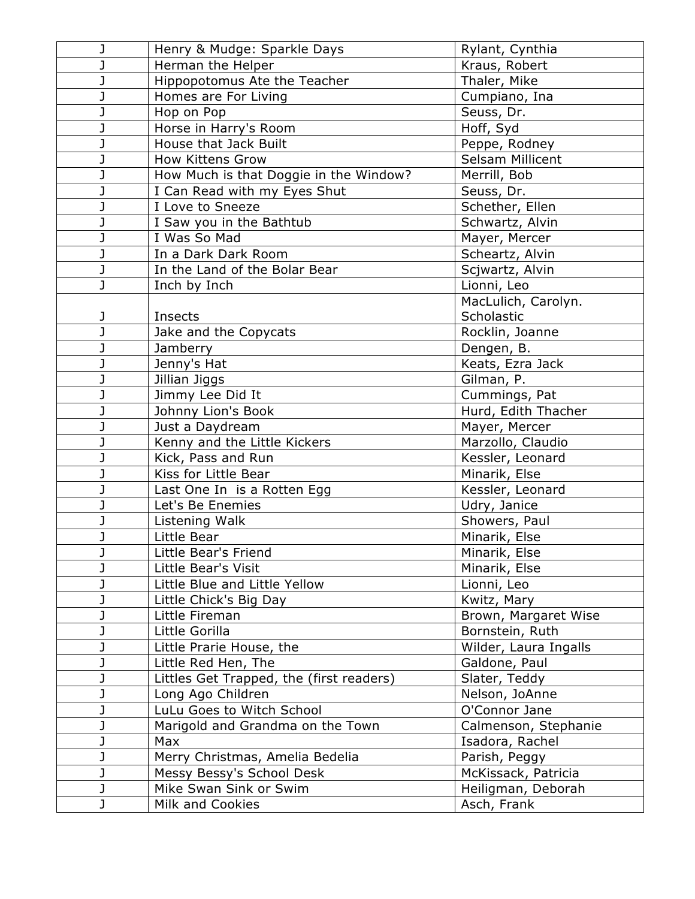| J | Henry & Mudge: Sparkle Days              | Rylant, Cynthia       |
|---|------------------------------------------|-----------------------|
| J | Herman the Helper                        | Kraus, Robert         |
| J | Hippopotomus Ate the Teacher             | Thaler, Mike          |
| J | Homes are For Living                     | Cumpiano, Ina         |
| J | Hop on Pop                               | Seuss, Dr.            |
| J | Horse in Harry's Room                    | Hoff, Syd             |
| J | House that Jack Built                    | Peppe, Rodney         |
| J | <b>How Kittens Grow</b>                  | Selsam Millicent      |
| J | How Much is that Doggie in the Window?   | Merrill, Bob          |
| J | I Can Read with my Eyes Shut             | Seuss, Dr.            |
| J | I Love to Sneeze                         | Schether, Ellen       |
| J | I Saw you in the Bathtub                 | Schwartz, Alvin       |
| J | I Was So Mad                             | Mayer, Mercer         |
| J | In a Dark Dark Room                      | Scheartz, Alvin       |
| J | In the Land of the Bolar Bear            | Scjwartz, Alvin       |
| J | Inch by Inch                             | Lionni, Leo           |
|   |                                          | MacLulich, Carolyn.   |
| J | Insects                                  | Scholastic            |
| J | Jake and the Copycats                    | Rocklin, Joanne       |
| J | Jamberry                                 | Dengen, B.            |
| J | Jenny's Hat                              | Keats, Ezra Jack      |
| J | Jillian Jiggs                            | Gilman, P.            |
| J | Jimmy Lee Did It                         | Cummings, Pat         |
| J | Johnny Lion's Book                       | Hurd, Edith Thacher   |
| J | Just a Daydream                          | Mayer, Mercer         |
| J | Kenny and the Little Kickers             | Marzollo, Claudio     |
| J | Kick, Pass and Run                       | Kessler, Leonard      |
| J | Kiss for Little Bear                     | Minarik, Else         |
| J | Last One In is a Rotten Egg              | Kessler, Leonard      |
| J | Let's Be Enemies                         | Udry, Janice          |
| J | Listening Walk                           | Showers, Paul         |
| J | Little Bear                              | Minarik, Else         |
| J | Little Bear's Friend                     | Minarik, Else         |
|   | Little Bear's Visit                      | Minarik, Else         |
|   | Little Blue and Little Yellow            | Lionni, Leo           |
| J | Little Chick's Big Day                   | Kwitz, Mary           |
| J | Little Fireman                           | Brown, Margaret Wise  |
| J | Little Gorilla                           | Bornstein, Ruth       |
| J | Little Prarie House, the                 | Wilder, Laura Ingalls |
|   | Little Red Hen, The                      | Galdone, Paul         |
| J | Littles Get Trapped, the (first readers) | Slater, Teddy         |
| J | Long Ago Children                        | Nelson, JoAnne        |
| J | LuLu Goes to Witch School                | O'Connor Jane         |
| J | Marigold and Grandma on the Town         | Calmenson, Stephanie  |
| J | Max                                      | Isadora, Rachel       |
| J | Merry Christmas, Amelia Bedelia          | Parish, Peggy         |
| J | Messy Bessy's School Desk                | McKissack, Patricia   |
| J | Mike Swan Sink or Swim                   | Heiligman, Deborah    |
| J | Milk and Cookies                         | Asch, Frank           |
|   |                                          |                       |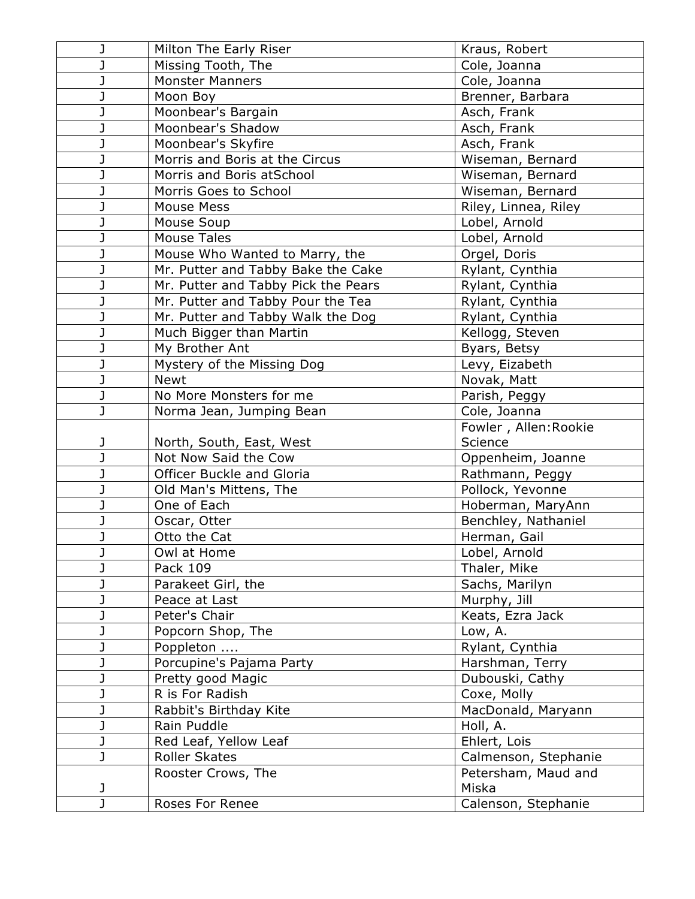| J      | Milton The Early Riser              | Kraus, Robert                |
|--------|-------------------------------------|------------------------------|
|        | Missing Tooth, The                  | Cole, Joanna                 |
| J      | <b>Monster Manners</b>              | Cole, Joanna                 |
|        | Moon Boy                            | Brenner, Barbara             |
|        | Moonbear's Bargain                  | Asch, Frank                  |
| J      | Moonbear's Shadow                   | Asch, Frank                  |
| J      | Moonbear's Skyfire                  | Asch, Frank                  |
|        | Morris and Boris at the Circus      | Wiseman, Bernard             |
| J      | Morris and Boris atSchool           | Wiseman, Bernard             |
|        | Morris Goes to School               | Wiseman, Bernard             |
|        | <b>Mouse Mess</b>                   | Riley, Linnea, Riley         |
|        | Mouse Soup                          | Lobel, Arnold                |
| J      | <b>Mouse Tales</b>                  | Lobel, Arnold                |
|        | Mouse Who Wanted to Marry, the      | Orgel, Doris                 |
| J      | Mr. Putter and Tabby Bake the Cake  | Rylant, Cynthia              |
| J      | Mr. Putter and Tabby Pick the Pears | Rylant, Cynthia              |
|        | Mr. Putter and Tabby Pour the Tea   | Rylant, Cynthia              |
|        | Mr. Putter and Tabby Walk the Dog   | Rylant, Cynthia              |
| J      | Much Bigger than Martin             | Kellogg, Steven              |
| J      | My Brother Ant                      | Byars, Betsy                 |
|        | Mystery of the Missing Dog          | Levy, Eizabeth               |
| J      | <b>Newt</b>                         | Novak, Matt                  |
| J      | No More Monsters for me             | Parish, Peggy                |
| J      | Norma Jean, Jumping Bean            | Cole, Joanna                 |
|        |                                     | Fowler, Allen: Rookie        |
| J      | North, South, East, West            | Science                      |
| I,     | Not Now Said the Cow                | Oppenheim, Joanne            |
|        | Officer Buckle and Gloria           | Rathmann, Peggy              |
| J      | Old Man's Mittens, The              | Pollock, Yevonne             |
|        | One of Each                         | Hoberman, MaryAnn            |
|        | Oscar, Otter                        | Benchley, Nathaniel          |
|        | Otto the Cat                        | Herman, Gail                 |
| J      | Owl at Home                         | Lobel, Arnold                |
|        | Pack 109                            | Thaler, Mike                 |
|        | Parakeet Girl, the                  | Sachs, Marilyn               |
|        | Peace at Last                       | Murphy, Jill                 |
|        | Peter's Chair                       | Keats, Ezra Jack             |
|        | Popcorn Shop, The                   | Low, A.                      |
|        |                                     |                              |
|        | Poppleton                           | Rylant, Cynthia              |
|        | Porcupine's Pajama Party            | Harshman, Terry              |
|        | Pretty good Magic                   | Dubouski, Cathy              |
| J      | R is For Radish                     | Coxe, Molly                  |
|        | Rabbit's Birthday Kite              | MacDonald, Maryann           |
|        | Rain Puddle                         | Holl, A.                     |
| J      | Red Leaf, Yellow Leaf               | Ehlert, Lois                 |
| J      | <b>Roller Skates</b>                | Calmenson, Stephanie         |
|        | Rooster Crows, The                  | Petersham, Maud and          |
| J<br>J | Roses For Renee                     | Miska<br>Calenson, Stephanie |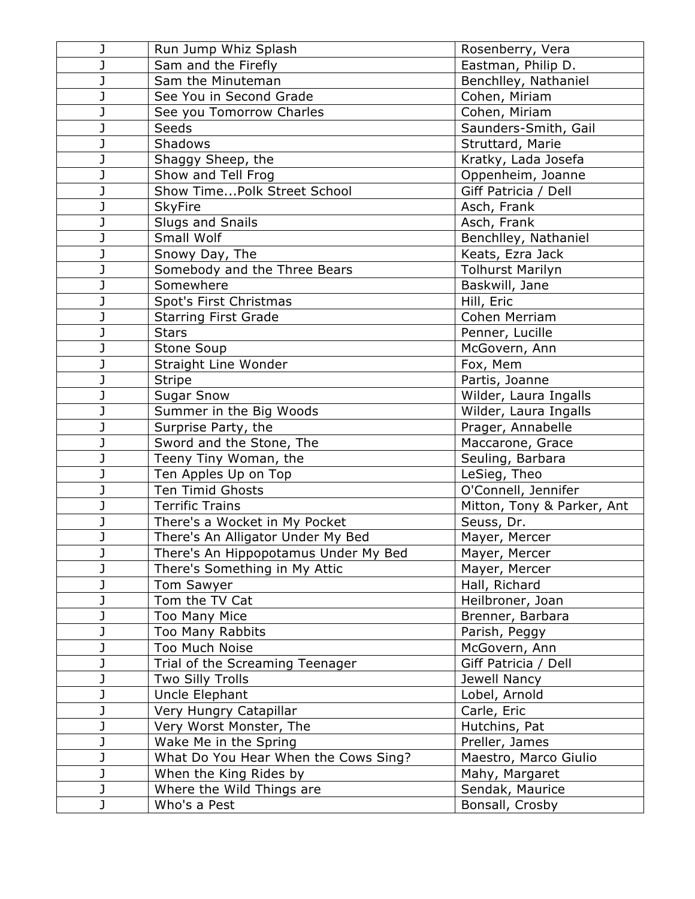| J | Run Jump Whiz Splash                 | Rosenberry, Vera           |
|---|--------------------------------------|----------------------------|
| J | Sam and the Firefly                  | Eastman, Philip D.         |
| J | Sam the Minuteman                    | Benchlley, Nathaniel       |
| J | See You in Second Grade              | Cohen, Miriam              |
|   | See you Tomorrow Charles             | Cohen, Miriam              |
| J | Seeds                                | Saunders-Smith, Gail       |
| J | Shadows                              | Struttard, Marie           |
| J | Shaggy Sheep, the                    | Kratky, Lada Josefa        |
| J | Show and Tell Frog                   | Oppenheim, Joanne          |
| J | Show TimePolk Street School          | Giff Patricia / Dell       |
| J | <b>SkyFire</b>                       | Asch, Frank                |
| J | <b>Slugs and Snails</b>              | Asch, Frank                |
| J | Small Wolf                           | Benchlley, Nathaniel       |
| J | Snowy Day, The                       | Keats, Ezra Jack           |
| J | Somebody and the Three Bears         | <b>Tolhurst Marilyn</b>    |
| J | Somewhere                            | Baskwill, Jane             |
|   | Spot's First Christmas               | Hill, Eric                 |
| J | <b>Starring First Grade</b>          | Cohen Merriam              |
| J | <b>Stars</b>                         | Penner, Lucille            |
| J | Stone Soup                           | McGovern, Ann              |
| J | Straight Line Wonder                 | Fox, Mem                   |
| J | <b>Stripe</b>                        | Partis, Joanne             |
| J | <b>Sugar Snow</b>                    | Wilder, Laura Ingalls      |
|   | Summer in the Big Woods              | Wilder, Laura Ingalls      |
| J | Surprise Party, the                  | Prager, Annabelle          |
| J | Sword and the Stone, The             | Maccarone, Grace           |
|   | Teeny Tiny Woman, the                | Seuling, Barbara           |
| J | Ten Apples Up on Top                 | LeSieg, Theo               |
| J | Ten Timid Ghosts                     | O'Connell, Jennifer        |
|   | <b>Terrific Trains</b>               | Mitton, Tony & Parker, Ant |
| J | There's a Wocket in My Pocket        | Seuss, Dr.                 |
| J | There's An Alligator Under My Bed    | Mayer, Mercer              |
| J | There's An Hippopotamus Under My Bed | Mayer, Mercer              |
| J | There's Something in My Attic        | Mayer, Mercer              |
| J | Tom Sawyer                           | Hall, Richard              |
| J | Tom the TV Cat                       | Heilbroner, Joan           |
| J | Too Many Mice                        | Brenner, Barbara           |
| J | Too Many Rabbits                     | Parish, Peggy              |
| J | Too Much Noise                       | McGovern, Ann              |
| J | Trial of the Screaming Teenager      | Giff Patricia / Dell       |
| J | <b>Two Silly Trolls</b>              | Jewell Nancy               |
| J | Uncle Elephant                       | Lobel, Arnold              |
| J | Very Hungry Catapillar               | Carle, Eric                |
| J | Very Worst Monster, The              | Hutchins, Pat              |
| J | Wake Me in the Spring                | Preller, James             |
| J | What Do You Hear When the Cows Sing? | Maestro, Marco Giulio      |
| J | When the King Rides by               | Mahy, Margaret             |
| J | Where the Wild Things are            | Sendak, Maurice            |
| J | Who's a Pest                         | Bonsall, Crosby            |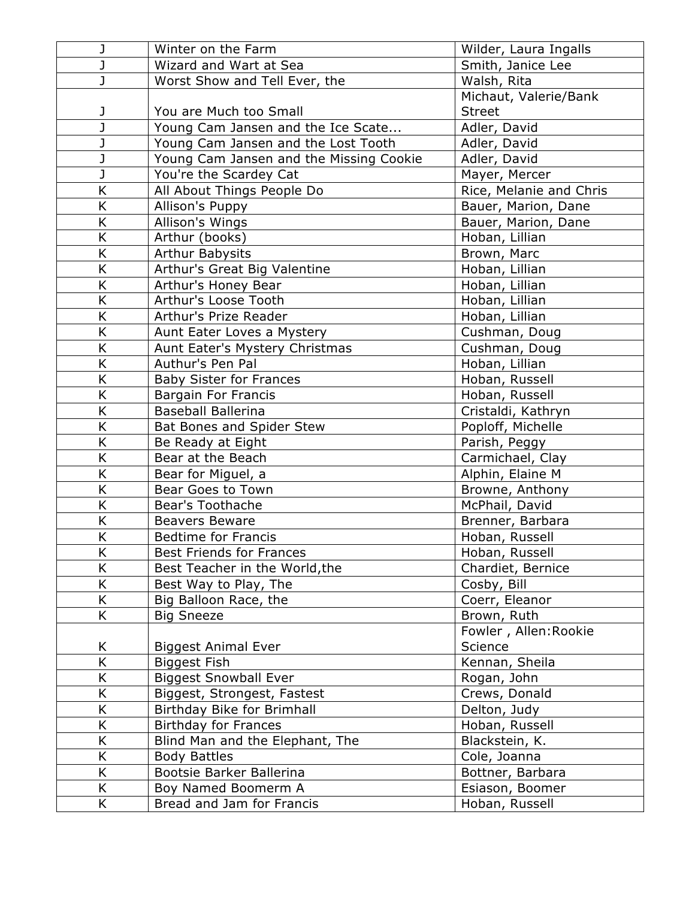| J                       | Winter on the Farm                      | Wilder, Laura Ingalls   |
|-------------------------|-----------------------------------------|-------------------------|
| J                       | Wizard and Wart at Sea                  | Smith, Janice Lee       |
| $\overline{\mathsf{J}}$ | Worst Show and Tell Ever, the           | Walsh, Rita             |
|                         |                                         | Michaut, Valerie/Bank   |
| J                       | You are Much too Small                  | <b>Street</b>           |
| $\overline{\mathsf{J}}$ | Young Cam Jansen and the Ice Scate      | Adler, David            |
| J                       | Young Cam Jansen and the Lost Tooth     | Adler, David            |
| J                       | Young Cam Jansen and the Missing Cookie | Adler, David            |
| J                       | You're the Scardey Cat                  | Mayer, Mercer           |
| K                       | All About Things People Do              | Rice, Melanie and Chris |
| K                       | Allison's Puppy                         | Bauer, Marion, Dane     |
| K                       | Allison's Wings                         | Bauer, Marion, Dane     |
| K                       | Arthur (books)                          | Hoban, Lillian          |
| K                       | <b>Arthur Babysits</b>                  | Brown, Marc             |
| K                       | Arthur's Great Big Valentine            | Hoban, Lillian          |
| K                       | Arthur's Honey Bear                     | Hoban, Lillian          |
| K                       | Arthur's Loose Tooth                    | Hoban, Lillian          |
| K                       | Arthur's Prize Reader                   | Hoban, Lillian          |
| K                       | Aunt Eater Loves a Mystery              | Cushman, Doug           |
| K                       | Aunt Eater's Mystery Christmas          | Cushman, Doug           |
| K                       | Authur's Pen Pal                        | Hoban, Lillian          |
| K                       | <b>Baby Sister for Frances</b>          | Hoban, Russell          |
| K                       | <b>Bargain For Francis</b>              | Hoban, Russell          |
| K                       | <b>Baseball Ballerina</b>               | Cristaldi, Kathryn      |
| K                       | Bat Bones and Spider Stew               | Poploff, Michelle       |
| K                       | Be Ready at Eight                       | Parish, Peggy           |
| K                       | Bear at the Beach                       | Carmichael, Clay        |
| K                       | Bear for Miguel, a                      | Alphin, Elaine M        |
| K                       | Bear Goes to Town                       | Browne, Anthony         |
| K                       | Bear's Toothache                        | McPhail, David          |
| K                       | <b>Beavers Beware</b>                   | Brenner, Barbara        |
| Κ                       | <b>Bedtime for Francis</b>              | Hoban, Russell          |
| K                       | <b>Best Friends for Frances</b>         | Hoban, Russell          |
| K                       | Best Teacher in the World, the          | Chardiet, Bernice       |
| K                       | Best Way to Play, The                   | Cosby, Bill             |
| K                       | Big Balloon Race, the                   | Coerr, Eleanor          |
| K                       | <b>Big Sneeze</b>                       | Brown, Ruth             |
|                         |                                         | Fowler, Allen: Rookie   |
| K                       | <b>Biggest Animal Ever</b>              | Science                 |
| K                       | <b>Biggest Fish</b>                     | Kennan, Sheila          |
| Κ                       | <b>Biggest Snowball Ever</b>            | Rogan, John             |
| K                       | Biggest, Strongest, Fastest             | Crews, Donald           |
| K                       | Birthday Bike for Brimhall              | Delton, Judy            |
| K                       | <b>Birthday for Frances</b>             | Hoban, Russell          |
| K                       | Blind Man and the Elephant, The         | Blackstein, K.          |
| K                       | <b>Body Battles</b>                     | Cole, Joanna            |
| K                       | Bootsie Barker Ballerina                | Bottner, Barbara        |
| K                       | Boy Named Boomerm A                     | Esiason, Boomer         |
| K.                      | Bread and Jam for Francis               | Hoban, Russell          |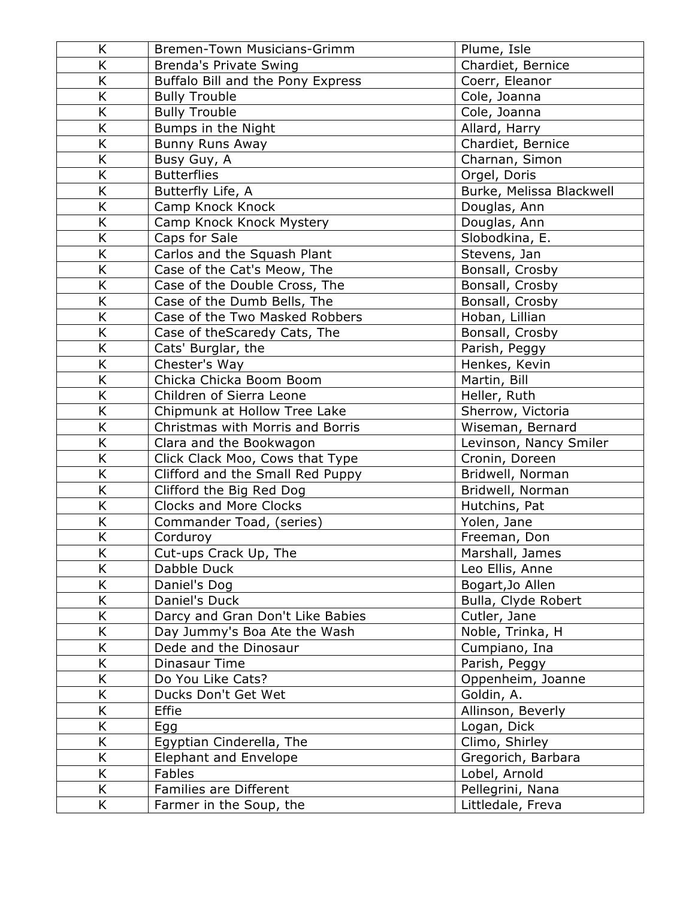| K  | Bremen-Town Musicians-Grimm       | Plume, Isle              |
|----|-----------------------------------|--------------------------|
| K  | <b>Brenda's Private Swing</b>     | Chardiet, Bernice        |
| Κ  | Buffalo Bill and the Pony Express | Coerr, Eleanor           |
| K  | <b>Bully Trouble</b>              | Cole, Joanna             |
| K  | <b>Bully Trouble</b>              | Cole, Joanna             |
| K  | Bumps in the Night                | Allard, Harry            |
| K  | Bunny Runs Away                   | Chardiet, Bernice        |
| K  | Busy Guy, A                       | Charnan, Simon           |
| K  | <b>Butterflies</b>                | Orgel, Doris             |
| K  | Butterfly Life, A                 | Burke, Melissa Blackwell |
| K  | Camp Knock Knock                  | Douglas, Ann             |
| K  | Camp Knock Knock Mystery          | Douglas, Ann             |
| K  | Caps for Sale                     | Slobodkina, E.           |
| K  | Carlos and the Squash Plant       | Stevens, Jan             |
| K  | Case of the Cat's Meow, The       | Bonsall, Crosby          |
| K  | Case of the Double Cross, The     | Bonsall, Crosby          |
| Κ  | Case of the Dumb Bells, The       | Bonsall, Crosby          |
| K  | Case of the Two Masked Robbers    | Hoban, Lillian           |
| K  | Case of theScaredy Cats, The      | Bonsall, Crosby          |
| K  | Cats' Burglar, the                | Parish, Peggy            |
| K  | Chester's Way                     | Henkes, Kevin            |
| K  | Chicka Chicka Boom Boom           | Martin, Bill             |
| K  | Children of Sierra Leone          | Heller, Ruth             |
| K  | Chipmunk at Hollow Tree Lake      | Sherrow, Victoria        |
| K  | Christmas with Morris and Borris  | Wiseman, Bernard         |
| K  | Clara and the Bookwagon           | Levinson, Nancy Smiler   |
| K  | Click Clack Moo, Cows that Type   | Cronin, Doreen           |
| K  | Clifford and the Small Red Puppy  | Bridwell, Norman         |
| K  | Clifford the Big Red Dog          | Bridwell, Norman         |
| K  | <b>Clocks and More Clocks</b>     | Hutchins, Pat            |
| K  | Commander Toad, (series)          | Yolen, Jane              |
| Κ  | Corduroy                          | Freeman, Don             |
| K  | Cut-ups Crack Up, The             | Marshall, James          |
| K  | Dabble Duck                       | Leo Ellis, Anne          |
| Κ  | Daniel's Dog                      | Bogart, Jo Allen         |
| K  | Daniel's Duck                     | Bulla, Clyde Robert      |
| K  | Darcy and Gran Don't Like Babies  | Cutler, Jane             |
| K. | Day Jummy's Boa Ate the Wash      | Noble, Trinka, H         |
| K  | Dede and the Dinosaur             | Cumpiano, Ina            |
| K  | Dinasaur Time                     | Parish, Peggy            |
| K  | Do You Like Cats?                 | Oppenheim, Joanne        |
| K  | Ducks Don't Get Wet               | Goldin, A.               |
| K  | Effie                             | Allinson, Beverly        |
| K  | Egg                               | Logan, Dick              |
| K  | Egyptian Cinderella, The          | Climo, Shirley           |
| K  | <b>Elephant and Envelope</b>      | Gregorich, Barbara       |
| K  | Fables                            | Lobel, Arnold            |
| K  | Families are Different            | Pellegrini, Nana         |
| K. | Farmer in the Soup, the           | Littledale, Freva        |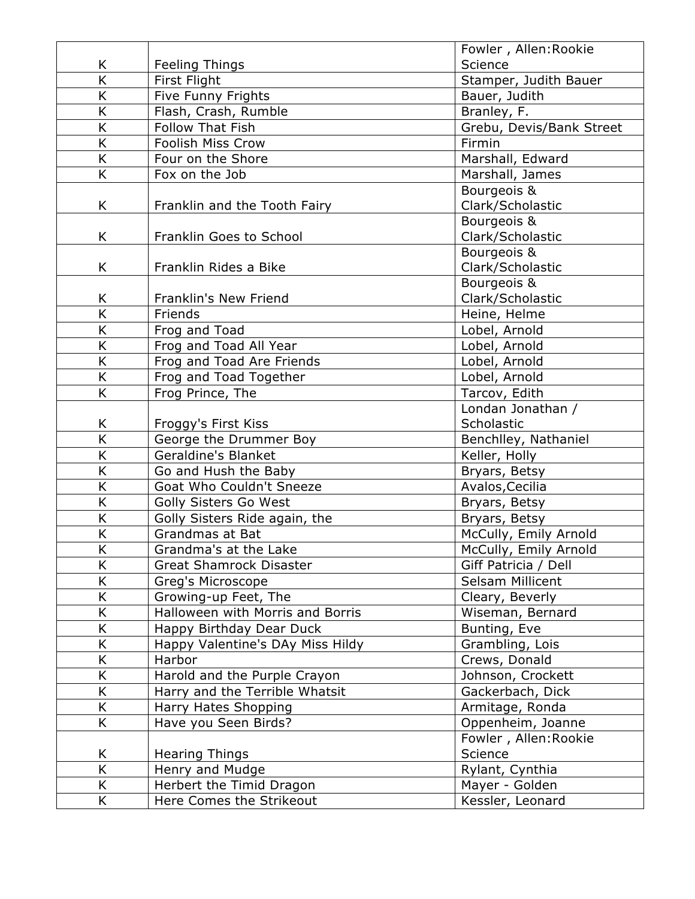|                         |                                  | Fowler, Allen: Rookie    |
|-------------------------|----------------------------------|--------------------------|
| K                       | Feeling Things                   | Science                  |
| K                       | First Flight                     | Stamper, Judith Bauer    |
| K                       | Five Funny Frights               | Bauer, Judith            |
| K                       | Flash, Crash, Rumble             | Branley, F.              |
| $\overline{\mathsf{K}}$ | <b>Follow That Fish</b>          | Grebu, Devis/Bank Street |
| K                       | Foolish Miss Crow                | Firmin                   |
| K                       | Four on the Shore                | Marshall, Edward         |
| K.                      | Fox on the Job                   | Marshall, James          |
|                         |                                  | Bourgeois &              |
| K.                      | Franklin and the Tooth Fairy     | Clark/Scholastic         |
|                         |                                  | Bourgeois &              |
| K                       | Franklin Goes to School          | Clark/Scholastic         |
|                         |                                  | Bourgeois &              |
| K                       | Franklin Rides a Bike            | Clark/Scholastic         |
|                         |                                  | Bourgeois &              |
| K                       | Franklin's New Friend            | Clark/Scholastic         |
| K                       | Friends                          | Heine, Helme             |
| K                       | Frog and Toad                    | Lobel, Arnold            |
| K                       | Frog and Toad All Year           | Lobel, Arnold            |
| K                       | Frog and Toad Are Friends        | Lobel, Arnold            |
| K                       | Frog and Toad Together           | Lobel, Arnold            |
| K.                      | Frog Prince, The                 | Tarcov, Edith            |
|                         |                                  | Londan Jonathan /        |
| Κ                       | Froggy's First Kiss              | Scholastic               |
| $\overline{\mathsf{K}}$ | George the Drummer Boy           | Benchlley, Nathaniel     |
| K                       | Geraldine's Blanket              | Keller, Holly            |
| K                       | Go and Hush the Baby             | Bryars, Betsy            |
| K                       | Goat Who Couldn't Sneeze         | Avalos, Cecilia          |
| K                       | Golly Sisters Go West            | Bryars, Betsy            |
| K                       | Golly Sisters Ride again, the    | Bryars, Betsy            |
| K                       | Grandmas at Bat                  | McCully, Emily Arnold    |
| K                       | Grandma's at the Lake            | McCully, Emily Arnold    |
| K                       | <b>Great Shamrock Disaster</b>   | Giff Patricia / Dell     |
| Κ                       | Greg's Microscope                | Selsam Millicent         |
| K                       | Growing-up Feet, The             | Cleary, Beverly          |
| K                       | Halloween with Morris and Borris | Wiseman, Bernard         |
| K                       | Happy Birthday Dear Duck         | Bunting, Eve             |
| K                       | Happy Valentine's DAy Miss Hildy | Grambling, Lois          |
| K                       | Harbor                           | Crews, Donald            |
| K                       | Harold and the Purple Crayon     | Johnson, Crockett        |
| K                       | Harry and the Terrible Whatsit   | Gackerbach, Dick         |
| K                       | Harry Hates Shopping             | Armitage, Ronda          |
| K                       | Have you Seen Birds?             | Oppenheim, Joanne        |
|                         |                                  | Fowler, Allen: Rookie    |
| Κ                       | <b>Hearing Things</b>            | Science                  |
| K                       | Henry and Mudge                  | Rylant, Cynthia          |
| K                       | Herbert the Timid Dragon         | Mayer - Golden           |
| K                       | Here Comes the Strikeout         | Kessler, Leonard         |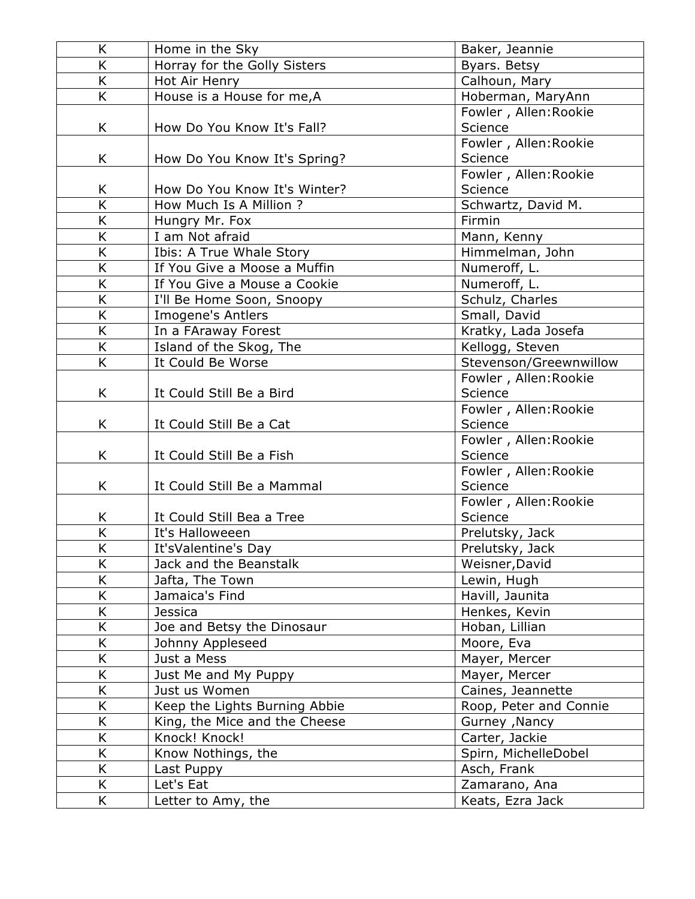| K              | Home in the Sky               | Baker, Jeannie         |
|----------------|-------------------------------|------------------------|
| K              | Horray for the Golly Sisters  | Byars. Betsy           |
| K              | Hot Air Henry                 | Calhoun, Mary          |
| K              | House is a House for me, A    | Hoberman, MaryAnn      |
|                |                               | Fowler, Allen: Rookie  |
| K              | How Do You Know It's Fall?    | Science                |
|                |                               | Fowler, Allen: Rookie  |
| K              | How Do You Know It's Spring?  | Science                |
|                |                               | Fowler, Allen: Rookie  |
| K              | How Do You Know It's Winter?  | Science                |
| K              | How Much Is A Million ?       | Schwartz, David M.     |
| K              | Hungry Mr. Fox                | Firmin                 |
| K              | I am Not afraid               | Mann, Kenny            |
| K              | Ibis: A True Whale Story      | Himmelman, John        |
| K              | If You Give a Moose a Muffin  | Numeroff, L.           |
| K              | If You Give a Mouse a Cookie  | Numeroff, L.           |
| K              | I'll Be Home Soon, Snoopy     | Schulz, Charles        |
| K              | <b>Imogene's Antlers</b>      | Small, David           |
| $\overline{K}$ | In a FAraway Forest           | Kratky, Lada Josefa    |
| K              | Island of the Skog, The       | Kellogg, Steven        |
| K              | It Could Be Worse             | Stevenson/Greewnwillow |
|                |                               | Fowler, Allen: Rookie  |
| K              | It Could Still Be a Bird      | Science                |
|                |                               | Fowler, Allen: Rookie  |
| K              | It Could Still Be a Cat       | Science                |
|                |                               | Fowler, Allen: Rookie  |
| K              | It Could Still Be a Fish      | Science                |
|                |                               | Fowler, Allen: Rookie  |
| K              | It Could Still Be a Mammal    | Science                |
|                |                               | Fowler, Allen: Rookie  |
| K              | It Could Still Bea a Tree     | Science                |
| K              | It's Halloweeen               | Prelutsky, Jack        |
| K              | It'sValentine's Day           | Prelutsky, Jack        |
| K              | Jack and the Beanstalk        | Weisner, David         |
| Κ              | Jafta, The Town               | Lewin, Hugh            |
| K              | Jamaica's Find                | Havill, Jaunita        |
| K              | <b>Jessica</b>                | Henkes, Kevin          |
| K              | Joe and Betsy the Dinosaur    | Hoban, Lillian         |
| K              | Johnny Appleseed              | Moore, Eva             |
| K              | Just a Mess                   | Mayer, Mercer          |
| K              | Just Me and My Puppy          | Mayer, Mercer          |
| K              | Just us Women                 | Caines, Jeannette      |
| K              | Keep the Lights Burning Abbie | Roop, Peter and Connie |
| K              | King, the Mice and the Cheese | Gurney , Nancy         |
| K              | Knock! Knock!                 | Carter, Jackie         |
| K              | Know Nothings, the            | Spirn, MichelleDobel   |
| K              | Last Puppy                    | Asch, Frank            |
| K              | Let's Eat                     | Zamarano, Ana          |
| K              | Letter to Amy, the            | Keats, Ezra Jack       |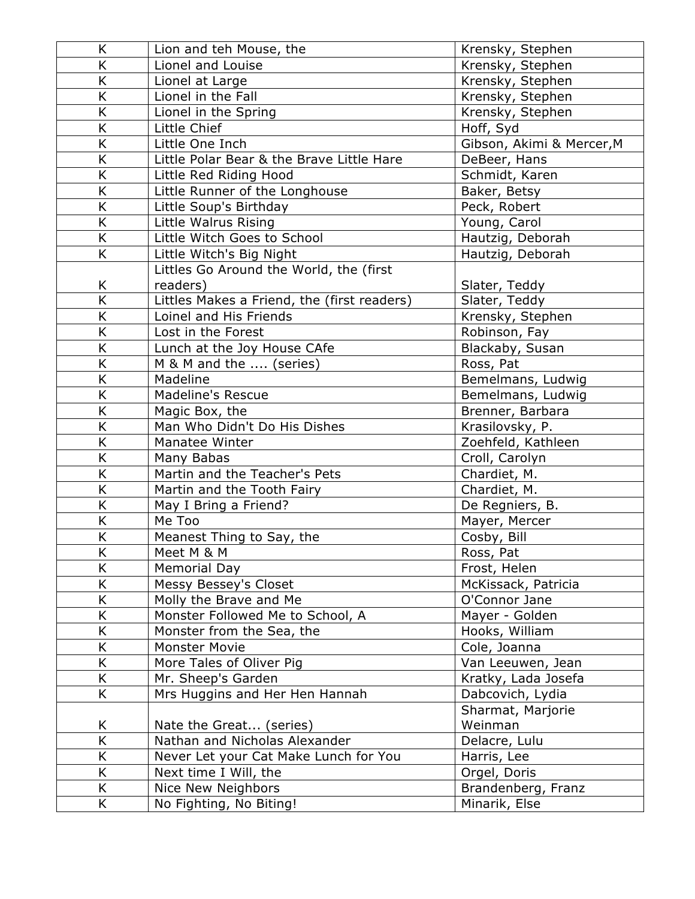| K                       | Lion and teh Mouse, the                     | Krensky, Stephen          |
|-------------------------|---------------------------------------------|---------------------------|
| K                       | Lionel and Louise                           | Krensky, Stephen          |
| K                       | Lionel at Large                             | Krensky, Stephen          |
| Κ                       | Lionel in the Fall                          | Krensky, Stephen          |
| K                       | Lionel in the Spring                        | Krensky, Stephen          |
| K                       | Little Chief                                | Hoff, Syd                 |
| K                       | Little One Inch                             | Gibson, Akimi & Mercer, M |
| K                       | Little Polar Bear & the Brave Little Hare   | DeBeer, Hans              |
| $\overline{\mathsf{K}}$ | Little Red Riding Hood                      | Schmidt, Karen            |
| K                       | Little Runner of the Longhouse              | Baker, Betsy              |
| K                       | Little Soup's Birthday                      | Peck, Robert              |
| Κ                       | Little Walrus Rising                        | Young, Carol              |
| K                       | Little Witch Goes to School                 | Hautzig, Deborah          |
| K                       | Little Witch's Big Night                    | Hautzig, Deborah          |
|                         | Littles Go Around the World, the (first     |                           |
| Κ                       | readers)                                    | Slater, Teddy             |
| K                       | Littles Makes a Friend, the (first readers) | Slater, Teddy             |
| K                       | Loinel and His Friends                      | Krensky, Stephen          |
| K                       | Lost in the Forest                          | Robinson, Fay             |
| K                       | Lunch at the Joy House CAfe                 | Blackaby, Susan           |
| K                       | M & M and the  (series)                     | Ross, Pat                 |
| Κ                       | Madeline                                    | Bemelmans, Ludwig         |
| K                       | <b>Madeline's Rescue</b>                    | Bemelmans, Ludwig         |
| K                       | Magic Box, the                              | Brenner, Barbara          |
| K                       | Man Who Didn't Do His Dishes                | Krasilovsky, P.           |
| K                       | Manatee Winter                              | Zoehfeld, Kathleen        |
| K                       | Many Babas                                  | Croll, Carolyn            |
| K                       | Martin and the Teacher's Pets               | Chardiet, M.              |
| K                       | Martin and the Tooth Fairy                  | Chardiet, M.              |
| Κ                       | May I Bring a Friend?                       | De Regniers, B.           |
| K                       | Me Too                                      | Mayer, Mercer             |
| Κ                       | Meanest Thing to Say, the                   | Cosby, Bill               |
| K                       | Meet M & M                                  | Ross, Pat                 |
| Κ                       | Memorial Day                                | Frost, Helen              |
| K                       | Messy Bessey's Closet                       | McKissack, Patricia       |
| K                       | Molly the Brave and Me                      | O'Connor Jane             |
| K                       | Monster Followed Me to School, A            | Mayer - Golden            |
| Κ                       | Monster from the Sea, the                   | Hooks, William            |
| K                       | <b>Monster Movie</b>                        | Cole, Joanna              |
| K                       | More Tales of Oliver Pig                    | Van Leeuwen, Jean         |
| K                       | Mr. Sheep's Garden                          | Kratky, Lada Josefa       |
| K.                      | Mrs Huggins and Her Hen Hannah              | Dabcovich, Lydia          |
|                         |                                             | Sharmat, Marjorie         |
| Κ                       | Nate the Great (series)                     | Weinman                   |
| K                       | Nathan and Nicholas Alexander               | Delacre, Lulu             |
| K                       | Never Let your Cat Make Lunch for You       | Harris, Lee               |
| K                       | Next time I Will, the                       | Orgel, Doris              |
| K                       | Nice New Neighbors                          | Brandenberg, Franz        |
| K                       | No Fighting, No Biting!                     | Minarik, Else             |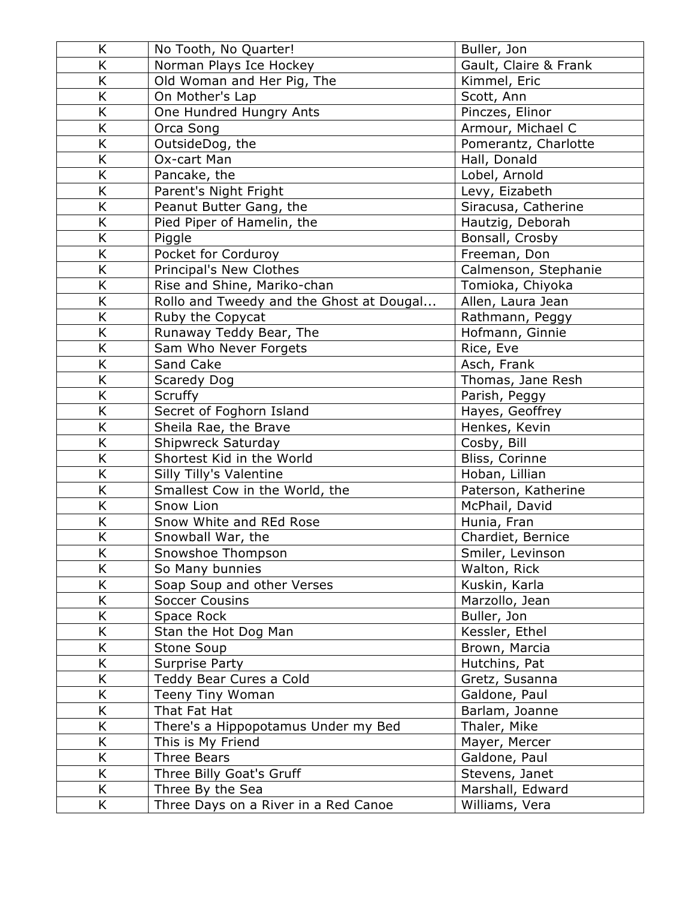| K | No Tooth, No Quarter!                    | Buller, Jon           |
|---|------------------------------------------|-----------------------|
| K | Norman Plays Ice Hockey                  | Gault, Claire & Frank |
| K | Old Woman and Her Pig, The               | Kimmel, Eric          |
| K | On Mother's Lap                          | Scott, Ann            |
| K | One Hundred Hungry Ants                  | Pinczes, Elinor       |
| K | Orca Song                                | Armour, Michael C     |
| K | OutsideDog, the                          | Pomerantz, Charlotte  |
| K | Ox-cart Man                              | Hall, Donald          |
| K | Pancake, the                             | Lobel, Arnold         |
| K | Parent's Night Fright                    | Levy, Eizabeth        |
| K | Peanut Butter Gang, the                  | Siracusa, Catherine   |
| K | Pied Piper of Hamelin, the               | Hautzig, Deborah      |
| K | Piggle                                   | Bonsall, Crosby       |
| K | Pocket for Corduroy                      | Freeman, Don          |
| K | Principal's New Clothes                  | Calmenson, Stephanie  |
| K | Rise and Shine, Mariko-chan              | Tomioka, Chiyoka      |
| K | Rollo and Tweedy and the Ghost at Dougal | Allen, Laura Jean     |
| K | Ruby the Copycat                         | Rathmann, Peggy       |
| K | Runaway Teddy Bear, The                  | Hofmann, Ginnie       |
| K | Sam Who Never Forgets                    | Rice, Eve             |
| K | Sand Cake                                | Asch, Frank           |
| Κ | Scaredy Dog                              | Thomas, Jane Resh     |
| K | Scruffy                                  | Parish, Peggy         |
| K | Secret of Foghorn Island                 | Hayes, Geoffrey       |
| K | Sheila Rae, the Brave                    | Henkes, Kevin         |
| K | Shipwreck Saturday                       | Cosby, Bill           |
| K | Shortest Kid in the World                | Bliss, Corinne        |
| K | Silly Tilly's Valentine                  | Hoban, Lillian        |
| K | Smallest Cow in the World, the           | Paterson, Katherine   |
| K | Snow Lion                                | McPhail, David        |
| K | Snow White and REd Rose                  | Hunia, Fran           |
| K | Snowball War, the                        | Chardiet, Bernice     |
| K | Snowshoe Thompson                        | Smiler, Levinson      |
| K | So Many bunnies                          | Walton, Rick          |
| Κ | Soap Soup and other Verses               | Kuskin, Karla         |
| K | <b>Soccer Cousins</b>                    | Marzollo, Jean        |
| Κ | Space Rock                               | Buller, Jon           |
| K | Stan the Hot Dog Man                     | Kessler, Ethel        |
| K | Stone Soup                               | Brown, Marcia         |
| K | <b>Surprise Party</b>                    | Hutchins, Pat         |
| K | Teddy Bear Cures a Cold                  | Gretz, Susanna        |
| K | Teeny Tiny Woman                         | Galdone, Paul         |
| K | That Fat Hat                             | Barlam, Joanne        |
| K | There's a Hippopotamus Under my Bed      | Thaler, Mike          |
| K | This is My Friend                        | Mayer, Mercer         |
| K | Three Bears                              | Galdone, Paul         |
| K | Three Billy Goat's Gruff                 | Stevens, Janet        |
| K | Three By the Sea                         | Marshall, Edward      |
| K | Three Days on a River in a Red Canoe     | Williams, Vera        |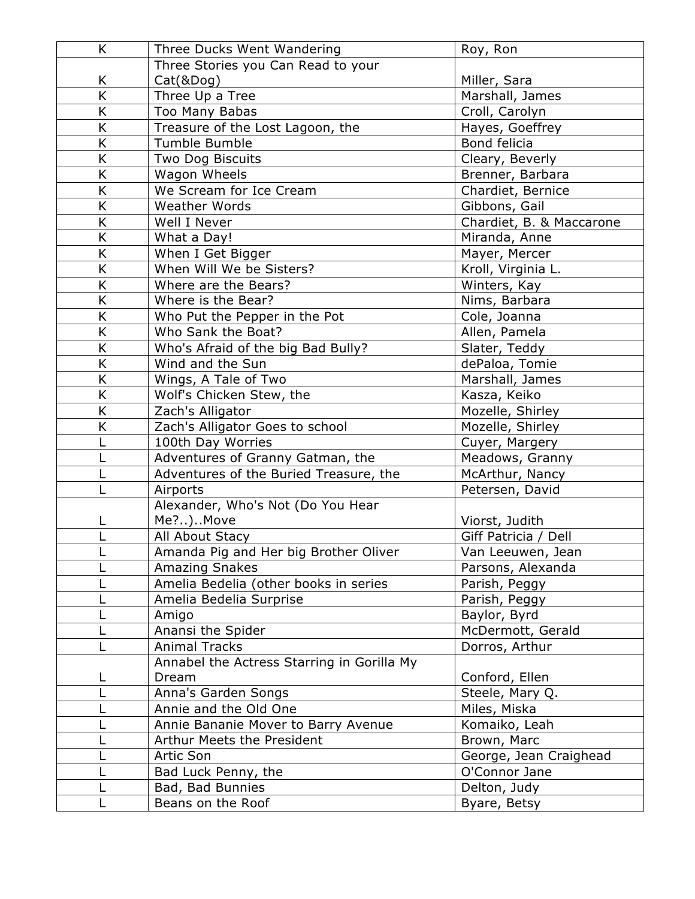| K | Three Ducks Went Wandering                 | Roy, Ron                 |
|---|--------------------------------------------|--------------------------|
|   | Three Stories you Can Read to your         |                          |
| K | Cat(&Dog)                                  | Miller, Sara             |
| K | Three Up a Tree                            | Marshall, James          |
| K | Too Many Babas                             | Croll, Carolyn           |
| K | Treasure of the Lost Lagoon, the           | Hayes, Goeffrey          |
| K | Tumble Bumble                              | Bond felicia             |
| K | <b>Two Dog Biscuits</b>                    | Cleary, Beverly          |
| K | Wagon Wheels                               | Brenner, Barbara         |
| K | We Scream for Ice Cream                    | Chardiet, Bernice        |
| K | <b>Weather Words</b>                       | Gibbons, Gail            |
| K | Well I Never                               | Chardiet, B. & Maccarone |
| K | What a Day!                                | Miranda, Anne            |
| K | When I Get Bigger                          | Mayer, Mercer            |
| K | When Will We be Sisters?                   | Kroll, Virginia L.       |
| K | Where are the Bears?                       | Winters, Kay             |
| K | Where is the Bear?                         | Nims, Barbara            |
| K | Who Put the Pepper in the Pot              | Cole, Joanna             |
| K | Who Sank the Boat?                         | Allen, Pamela            |
| K | Who's Afraid of the big Bad Bully?         | Slater, Teddy            |
| K | Wind and the Sun                           | dePaloa, Tomie           |
| K | Wings, A Tale of Two                       | Marshall, James          |
| K | Wolf's Chicken Stew, the                   | Kasza, Keiko             |
| K | Zach's Alligator                           | Mozelle, Shirley         |
| K | Zach's Alligator Goes to school            | Mozelle, Shirley         |
| L | 100th Day Worries                          | Cuyer, Margery           |
|   | Adventures of Granny Gatman, the           | Meadows, Granny          |
| L | Adventures of the Buried Treasure, the     | McArthur, Nancy          |
|   | Airports                                   | Petersen, David          |
|   | Alexander, Who's Not (Do You Hear          |                          |
| L | Me?)Move                                   | Viorst, Judith           |
| L | All About Stacy                            | Giff Patricia / Dell     |
|   | Amanda Pig and Her big Brother Oliver      | Van Leeuwen, Jean        |
|   | <b>Amazing Snakes</b>                      | Parsons, Alexanda        |
|   | Amelia Bedelia (other books in series      | Parish, Peggy            |
|   | Amelia Bedelia Surprise                    | Parish, Peggy            |
|   | Amigo                                      | Baylor, Byrd             |
|   | Anansi the Spider                          | McDermott, Gerald        |
|   | <b>Animal Tracks</b>                       | Dorros, Arthur           |
|   | Annabel the Actress Starring in Gorilla My |                          |
|   | Dream                                      | Conford, Ellen           |
|   | Anna's Garden Songs                        | Steele, Mary Q.          |
|   | Annie and the Old One                      | Miles, Miska             |
|   | Annie Bananie Mover to Barry Avenue        | Komaiko, Leah            |
|   | Arthur Meets the President                 | Brown, Marc              |
|   | Artic Son                                  | George, Jean Craighead   |
|   | Bad Luck Penny, the                        | O'Connor Jane            |
|   | Bad, Bad Bunnies                           | Delton, Judy             |
|   | Beans on the Roof                          | Byare, Betsy             |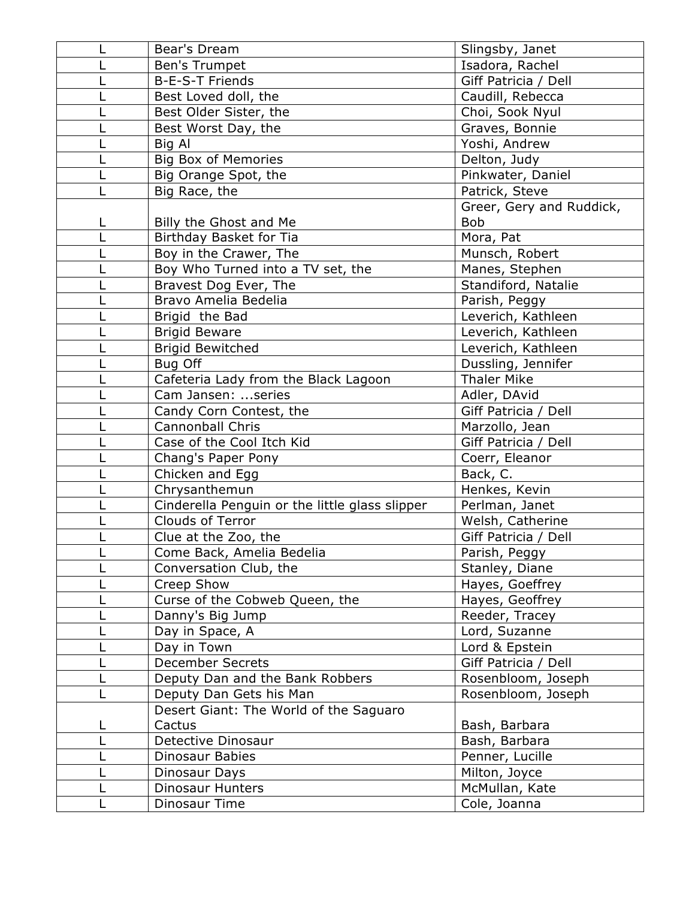|   | Bear's Dream                                   | Slingsby, Janet          |
|---|------------------------------------------------|--------------------------|
|   | Ben's Trumpet                                  | Isadora, Rachel          |
|   | B-E-S-T Friends                                | Giff Patricia / Dell     |
|   | Best Loved doll, the                           | Caudill, Rebecca         |
|   | Best Older Sister, the                         | Choi, Sook Nyul          |
|   | Best Worst Day, the                            | Graves, Bonnie           |
|   | Big Al                                         | Yoshi, Andrew            |
|   | <b>Big Box of Memories</b>                     | Delton, Judy             |
|   | Big Orange Spot, the                           | Pinkwater, Daniel        |
|   | Big Race, the                                  | Patrick, Steve           |
|   |                                                | Greer, Gery and Ruddick, |
| L | Billy the Ghost and Me                         | <b>Bob</b>               |
|   | Birthday Basket for Tia                        | Mora, Pat                |
|   | Boy in the Crawer, The                         | Munsch, Robert           |
|   | Boy Who Turned into a TV set, the              | Manes, Stephen           |
|   | Bravest Dog Ever, The                          | Standiford, Natalie      |
|   | Bravo Amelia Bedelia                           | Parish, Peggy            |
|   | Brigid the Bad                                 | Leverich, Kathleen       |
|   | <b>Brigid Beware</b>                           | Leverich, Kathleen       |
|   | <b>Brigid Bewitched</b>                        | Leverich, Kathleen       |
|   | Bug Off                                        | Dussling, Jennifer       |
|   | Cafeteria Lady from the Black Lagoon           | <b>Thaler Mike</b>       |
|   | Cam Jansen: series                             | Adler, DAvid             |
|   | Candy Corn Contest, the                        | Giff Patricia / Dell     |
|   | <b>Cannonball Chris</b>                        | Marzollo, Jean           |
|   | Case of the Cool Itch Kid                      | Giff Patricia / Dell     |
|   | Chang's Paper Pony                             | Coerr, Eleanor           |
|   | Chicken and Egg                                | Back, C.                 |
|   | Chrysanthemun                                  | Henkes, Kevin            |
|   | Cinderella Penguin or the little glass slipper | Perlman, Janet           |
|   | <b>Clouds of Terror</b>                        | Welsh, Catherine         |
|   | Clue at the Zoo, the                           | Giff Patricia / Dell     |
|   | Come Back, Amelia Bedelia                      | Parish, Peggy            |
|   | Conversation Club, the                         | Stanley, Diane           |
|   | Creep Show                                     | Hayes, Goeffrey          |
|   | Curse of the Cobweb Queen, the                 | Hayes, Geoffrey          |
|   | Danny's Big Jump                               | Reeder, Tracey           |
|   | Day in Space, A                                | Lord, Suzanne            |
|   | Day in Town                                    | Lord & Epstein           |
|   | <b>December Secrets</b>                        | Giff Patricia / Dell     |
|   | Deputy Dan and the Bank Robbers                | Rosenbloom, Joseph       |
|   | Deputy Dan Gets his Man                        | Rosenbloom, Joseph       |
|   | Desert Giant: The World of the Saguaro         |                          |
|   | Cactus                                         | Bash, Barbara            |
|   | Detective Dinosaur                             | Bash, Barbara            |
|   | Dinosaur Babies                                | Penner, Lucille          |
|   | Dinosaur Days                                  | Milton, Joyce            |
|   | <b>Dinosaur Hunters</b>                        | McMullan, Kate           |
|   | Dinosaur Time                                  | Cole, Joanna             |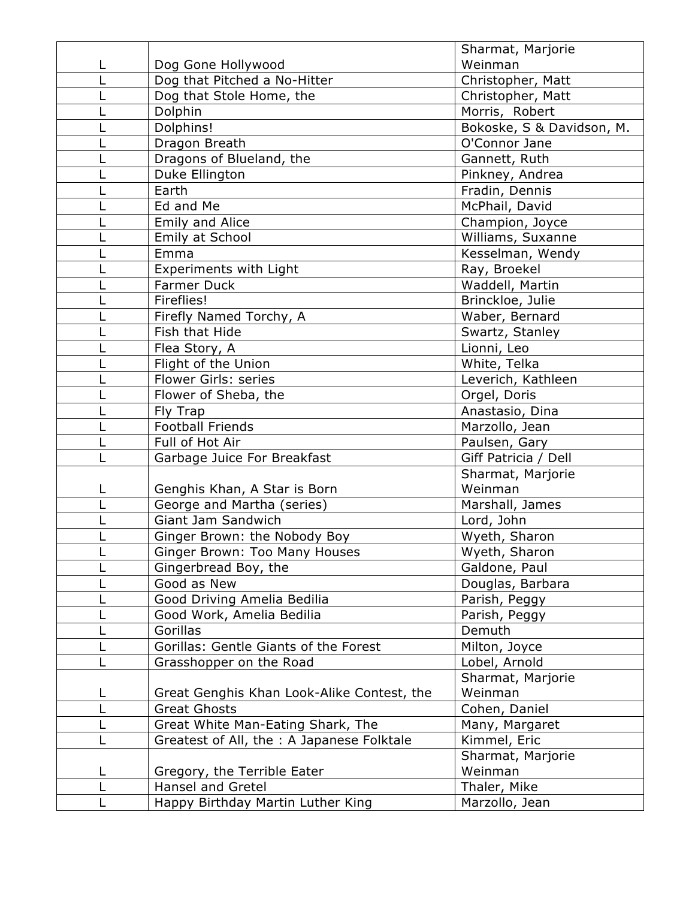|   |                                            | Sharmat, Marjorie         |
|---|--------------------------------------------|---------------------------|
|   | Dog Gone Hollywood                         | Weinman                   |
|   | Dog that Pitched a No-Hitter               | Christopher, Matt         |
|   | Dog that Stole Home, the                   | Christopher, Matt         |
|   | Dolphin                                    | Morris, Robert            |
|   | Dolphins!                                  | Bokoske, S & Davidson, M. |
|   | Dragon Breath                              | O'Connor Jane             |
|   | Dragons of Blueland, the                   | Gannett, Ruth             |
|   | Duke Ellington                             | Pinkney, Andrea           |
|   | Earth                                      | Fradin, Dennis            |
|   | Ed and Me                                  | McPhail, David            |
|   | Emily and Alice                            | Champion, Joyce           |
|   | Emily at School                            | Williams, Suxanne         |
|   | Emma                                       | Kesselman, Wendy          |
|   | <b>Experiments with Light</b>              | Ray, Broekel              |
|   | <b>Farmer Duck</b>                         | Waddell, Martin           |
|   | Fireflies!                                 | Brinckloe, Julie          |
|   | Firefly Named Torchy, A                    | Waber, Bernard            |
|   | Fish that Hide                             | Swartz, Stanley           |
|   | Flea Story, A                              | Lionni, Leo               |
|   | Flight of the Union                        | White, Telka              |
|   | Flower Girls: series                       | Leverich, Kathleen        |
|   | Flower of Sheba, the                       | Orgel, Doris              |
|   | Fly Trap                                   | Anastasio, Dina           |
|   | <b>Football Friends</b>                    | Marzollo, Jean            |
|   | Full of Hot Air                            | Paulsen, Gary             |
|   | Garbage Juice For Breakfast                | Giff Patricia / Dell      |
|   |                                            | Sharmat, Marjorie         |
|   | Genghis Khan, A Star is Born               | Weinman                   |
|   | George and Martha (series)                 | Marshall, James           |
|   | Giant Jam Sandwich                         | Lord, John                |
|   | Ginger Brown: the Nobody Boy               | Wyeth, Sharon             |
|   | Ginger Brown: Too Many Houses              | Wyeth, Sharon             |
|   | Gingerbread Boy, the                       | Galdone, Paul             |
|   | Good as New                                | Douglas, Barbara          |
|   | Good Driving Amelia Bedilia                | Parish, Peggy             |
|   | Good Work, Amelia Bedilia                  | Parish, Peggy             |
|   | Gorillas                                   | Demuth                    |
|   | Gorillas: Gentle Giants of the Forest      | Milton, Joyce             |
|   | Grasshopper on the Road                    | Lobel, Arnold             |
|   |                                            | Sharmat, Marjorie         |
| L | Great Genghis Khan Look-Alike Contest, the | Weinman                   |
|   | <b>Great Ghosts</b>                        | Cohen, Daniel             |
|   | Great White Man-Eating Shark, The          | Many, Margaret            |
|   | Greatest of All, the : A Japanese Folktale | Kimmel, Eric              |
|   |                                            | Sharmat, Marjorie         |
| L | Gregory, the Terrible Eater                | Weinman                   |
|   | <b>Hansel and Gretel</b>                   | Thaler, Mike              |
|   | Happy Birthday Martin Luther King          | Marzollo, Jean            |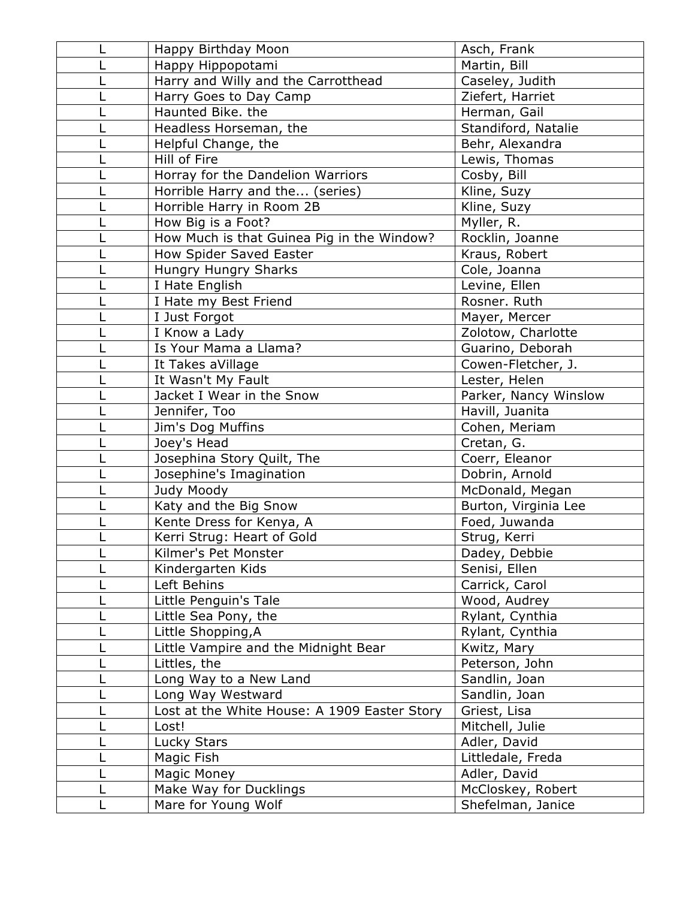|   | Happy Birthday Moon                          | Asch, Frank           |
|---|----------------------------------------------|-----------------------|
|   | Happy Hippopotami                            | Martin, Bill          |
|   | Harry and Willy and the Carrotthead          | Caseley, Judith       |
|   | Harry Goes to Day Camp                       | Ziefert, Harriet      |
|   | Haunted Bike. the                            | Herman, Gail          |
|   | Headless Horseman, the                       | Standiford, Natalie   |
|   | Helpful Change, the                          | Behr, Alexandra       |
|   | Hill of Fire                                 | Lewis, Thomas         |
|   | Horray for the Dandelion Warriors            | Cosby, Bill           |
|   | Horrible Harry and the (series)              | Kline, Suzy           |
|   | Horrible Harry in Room 2B                    | Kline, Suzy           |
|   | How Big is a Foot?                           | Myller, R.            |
|   | How Much is that Guinea Pig in the Window?   | Rocklin, Joanne       |
|   | How Spider Saved Easter                      | Kraus, Robert         |
|   | Hungry Hungry Sharks                         | Cole, Joanna          |
|   | I Hate English                               | Levine, Ellen         |
|   | I Hate my Best Friend                        | Rosner. Ruth          |
|   | I Just Forgot                                | Mayer, Mercer         |
|   | I Know a Lady                                | Zolotow, Charlotte    |
|   | Is Your Mama a Llama?                        | Guarino, Deborah      |
|   | It Takes aVillage                            | Cowen-Fletcher, J.    |
|   | It Wasn't My Fault                           | Lester, Helen         |
|   | Jacket I Wear in the Snow                    | Parker, Nancy Winslow |
|   | Jennifer, Too                                | Havill, Juanita       |
|   | Jim's Dog Muffins                            | Cohen, Meriam         |
|   | Joey's Head                                  | Cretan, G.            |
|   | Josephina Story Quilt, The                   | Coerr, Eleanor        |
|   | Josephine's Imagination                      | Dobrin, Arnold        |
|   | Judy Moody                                   | McDonald, Megan       |
|   | Katy and the Big Snow                        | Burton, Virginia Lee  |
|   | Kente Dress for Kenya, A                     | Foed, Juwanda         |
|   | Kerri Strug: Heart of Gold                   | Strug, Kerri          |
| ட | Kilmer's Pet Monster                         | Dadey, Debbie         |
|   | Kindergarten Kids                            | Senisi, Ellen         |
|   | Left Behins                                  | Carrick, Carol        |
|   | Little Penguin's Tale                        | Wood, Audrey          |
|   | Little Sea Pony, the                         | Rylant, Cynthia       |
|   | Little Shopping, A                           | Rylant, Cynthia       |
|   | Little Vampire and the Midnight Bear         | Kwitz, Mary           |
|   | Littles, the                                 | Peterson, John        |
|   | Long Way to a New Land                       | Sandlin, Joan         |
|   | Long Way Westward                            | Sandlin, Joan         |
|   | Lost at the White House: A 1909 Easter Story | Griest, Lisa          |
|   | Lost!                                        | Mitchell, Julie       |
|   | Lucky Stars                                  | Adler, David          |
|   | Magic Fish                                   | Littledale, Freda     |
|   | Magic Money                                  | Adler, David          |
|   | Make Way for Ducklings                       | McCloskey, Robert     |
|   | Mare for Young Wolf                          | Shefelman, Janice     |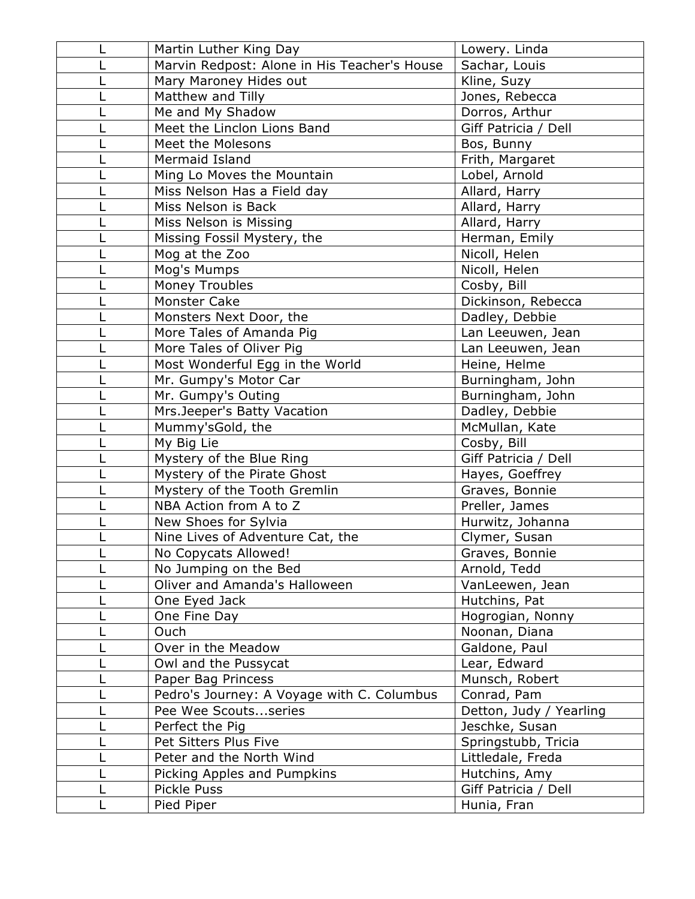|   | Martin Luther King Day                       | Lowery. Linda           |
|---|----------------------------------------------|-------------------------|
|   | Marvin Redpost: Alone in His Teacher's House | Sachar, Louis           |
|   | Mary Maroney Hides out                       | Kline, Suzy             |
|   | Matthew and Tilly                            | Jones, Rebecca          |
|   | Me and My Shadow                             | Dorros, Arthur          |
|   | Meet the Linclon Lions Band                  | Giff Patricia / Dell    |
|   | Meet the Molesons                            | Bos, Bunny              |
|   | Mermaid Island                               | Frith, Margaret         |
|   | Ming Lo Moves the Mountain                   | Lobel, Arnold           |
|   | Miss Nelson Has a Field day                  | Allard, Harry           |
|   | Miss Nelson is Back                          | Allard, Harry           |
|   | Miss Nelson is Missing                       | Allard, Harry           |
|   | Missing Fossil Mystery, the                  | Herman, Emily           |
|   | Mog at the Zoo                               | Nicoll, Helen           |
|   | Mog's Mumps                                  | Nicoll, Helen           |
|   | Money Troubles                               | Cosby, Bill             |
|   | <b>Monster Cake</b>                          | Dickinson, Rebecca      |
|   | Monsters Next Door, the                      | Dadley, Debbie          |
|   | More Tales of Amanda Pig                     | Lan Leeuwen, Jean       |
|   | More Tales of Oliver Pig                     | Lan Leeuwen, Jean       |
|   | Most Wonderful Egg in the World              | Heine, Helme            |
|   | Mr. Gumpy's Motor Car                        | Burningham, John        |
|   | Mr. Gumpy's Outing                           | Burningham, John        |
|   | Mrs.Jeeper's Batty Vacation                  | Dadley, Debbie          |
|   | Mummy'sGold, the                             | McMullan, Kate          |
|   | My Big Lie                                   | Cosby, Bill             |
|   | Mystery of the Blue Ring                     | Giff Patricia / Dell    |
|   | Mystery of the Pirate Ghost                  | Hayes, Goeffrey         |
|   | Mystery of the Tooth Gremlin                 | Graves, Bonnie          |
|   | NBA Action from A to Z                       | Preller, James          |
|   | New Shoes for Sylvia                         | Hurwitz, Johanna        |
|   | Nine Lives of Adventure Cat, the             | Clymer, Susan           |
| L | No Copycats Allowed!                         | Graves, Bonnie          |
|   | No Jumping on the Bed                        | Arnold, Tedd            |
|   | Oliver and Amanda's Halloween                | VanLeewen, Jean         |
|   | One Eyed Jack                                | Hutchins, Pat           |
|   | One Fine Day                                 | Hogrogian, Nonny        |
|   | Ouch                                         | Noonan, Diana           |
|   | Over in the Meadow                           | Galdone, Paul           |
|   | Owl and the Pussycat                         | Lear, Edward            |
|   | Paper Bag Princess                           | Munsch, Robert          |
|   | Pedro's Journey: A Voyage with C. Columbus   | Conrad, Pam             |
|   | Pee Wee Scoutsseries                         | Detton, Judy / Yearling |
|   | Perfect the Pig                              | Jeschke, Susan          |
|   | Pet Sitters Plus Five                        | Springstubb, Tricia     |
|   | Peter and the North Wind                     | Littledale, Freda       |
|   | Picking Apples and Pumpkins                  | Hutchins, Amy           |
|   | Pickle Puss                                  | Giff Patricia / Dell    |
|   | Pied Piper                                   | Hunia, Fran             |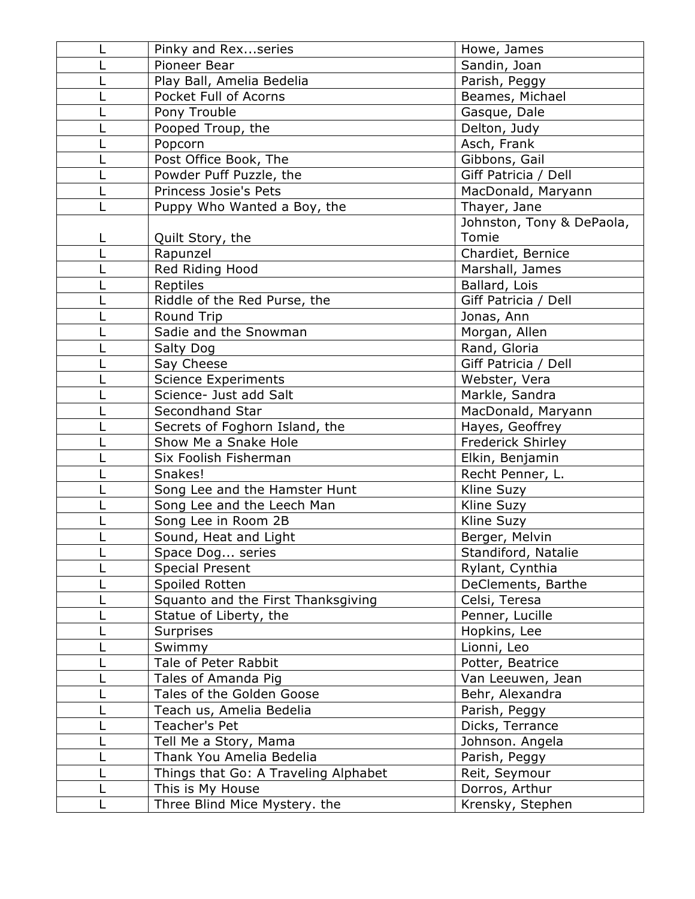|   | Pinky and Rex series                 | Howe, James               |
|---|--------------------------------------|---------------------------|
|   | Pioneer Bear                         | Sandin, Joan              |
|   | Play Ball, Amelia Bedelia            | Parish, Peggy             |
|   | Pocket Full of Acorns                | Beames, Michael           |
|   | Pony Trouble                         | Gasque, Dale              |
|   | Pooped Troup, the                    | Delton, Judy              |
|   | Popcorn                              | Asch, Frank               |
|   | Post Office Book, The                | Gibbons, Gail             |
|   | Powder Puff Puzzle, the              | Giff Patricia / Dell      |
|   | Princess Josie's Pets                | MacDonald, Maryann        |
|   | Puppy Who Wanted a Boy, the          | Thayer, Jane              |
|   |                                      | Johnston, Tony & DePaola, |
| L | Quilt Story, the                     | Tomie                     |
|   | Rapunzel                             | Chardiet, Bernice         |
|   | Red Riding Hood                      | Marshall, James           |
|   | Reptiles                             | Ballard, Lois             |
|   | Riddle of the Red Purse, the         | Giff Patricia / Dell      |
|   | <b>Round Trip</b>                    | Jonas, Ann                |
|   | Sadie and the Snowman                | Morgan, Allen             |
|   | Salty Dog                            | Rand, Gloria              |
|   | Say Cheese                           | Giff Patricia / Dell      |
|   | <b>Science Experiments</b>           | Webster, Vera             |
|   | Science- Just add Salt               | Markle, Sandra            |
|   | Secondhand Star                      | MacDonald, Maryann        |
|   | Secrets of Foghorn Island, the       | Hayes, Geoffrey           |
|   | Show Me a Snake Hole                 | <b>Frederick Shirley</b>  |
|   | Six Foolish Fisherman                | Elkin, Benjamin           |
|   | Snakes!                              | Recht Penner, L.          |
|   | Song Lee and the Hamster Hunt        | Kline Suzy                |
|   | Song Lee and the Leech Man           | Kline Suzy                |
|   | Song Lee in Room 2B                  | Kline Suzy                |
|   | Sound, Heat and Light                | Berger, Melvin            |
|   | Space Dog series                     | Standiford, Natalie       |
|   | <b>Special Present</b>               | Rylant, Cynthia           |
|   | Spoiled Rotten                       | DeClements, Barthe        |
|   | Squanto and the First Thanksgiving   | Celsi, Teresa             |
|   | Statue of Liberty, the               | Penner, Lucille           |
|   | <b>Surprises</b>                     | Hopkins, Lee              |
|   | Swimmy                               | Lionni, Leo               |
|   | Tale of Peter Rabbit                 | Potter, Beatrice          |
|   | Tales of Amanda Pig                  | Van Leeuwen, Jean         |
|   | Tales of the Golden Goose            | Behr, Alexandra           |
|   | Teach us, Amelia Bedelia             | Parish, Peggy             |
|   | Teacher's Pet                        | Dicks, Terrance           |
|   | Tell Me a Story, Mama                | Johnson. Angela           |
|   | Thank You Amelia Bedelia             | Parish, Peggy             |
|   | Things that Go: A Traveling Alphabet | Reit, Seymour             |
|   | This is My House                     | Dorros, Arthur            |
|   | Three Blind Mice Mystery. the        | Krensky, Stephen          |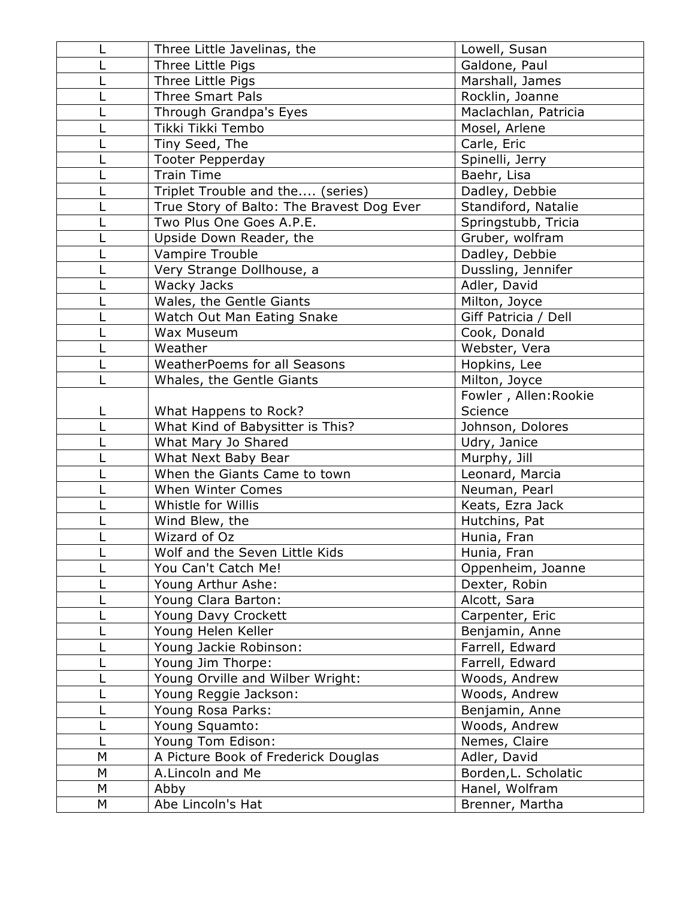|   | Three Little Javelinas, the               | Lowell, Susan         |
|---|-------------------------------------------|-----------------------|
|   | Three Little Pigs                         | Galdone, Paul         |
|   | Three Little Pigs                         | Marshall, James       |
|   | <b>Three Smart Pals</b>                   | Rocklin, Joanne       |
|   | Through Grandpa's Eyes                    | Maclachlan, Patricia  |
|   | Tikki Tikki Tembo                         | Mosel, Arlene         |
|   | Tiny Seed, The                            | Carle, Eric           |
|   | <b>Tooter Pepperday</b>                   | Spinelli, Jerry       |
|   | <b>Train Time</b>                         | Baehr, Lisa           |
|   | Triplet Trouble and the (series)          | Dadley, Debbie        |
|   | True Story of Balto: The Bravest Dog Ever | Standiford, Natalie   |
|   | Two Plus One Goes A.P.E.                  | Springstubb, Tricia   |
|   | Upside Down Reader, the                   | Gruber, wolfram       |
|   | Vampire Trouble                           | Dadley, Debbie        |
|   | Very Strange Dollhouse, a                 | Dussling, Jennifer    |
|   | Wacky Jacks                               | Adler, David          |
|   | Wales, the Gentle Giants                  | Milton, Joyce         |
|   | Watch Out Man Eating Snake                | Giff Patricia / Dell  |
|   | Wax Museum                                | Cook, Donald          |
|   | Weather                                   | Webster, Vera         |
|   | <b>WeatherPoems for all Seasons</b>       | Hopkins, Lee          |
|   | Whales, the Gentle Giants                 | Milton, Joyce         |
|   |                                           | Fowler, Allen: Rookie |
|   | What Happens to Rock?                     | Science               |
|   | What Kind of Babysitter is This?          | Johnson, Dolores      |
|   | What Mary Jo Shared                       | Udry, Janice          |
|   | What Next Baby Bear                       | Murphy, Jill          |
|   | When the Giants Came to town              | Leonard, Marcia       |
|   | When Winter Comes                         | Neuman, Pearl         |
|   | Whistle for Willis                        | Keats, Ezra Jack      |
|   | Wind Blew, the                            | Hutchins, Pat         |
|   | Wizard of Oz                              | Hunia, Fran           |
|   | Wolf and the Seven Little Kids            | Hunia, Fran           |
|   | You Can't Catch Me!                       | Oppenheim, Joanne     |
|   | Young Arthur Ashe:                        | Dexter, Robin         |
|   | Young Clara Barton:                       | Alcott, Sara          |
|   | Young Davy Crockett                       | Carpenter, Eric       |
|   | Young Helen Keller                        | Benjamin, Anne        |
|   | Young Jackie Robinson:                    | Farrell, Edward       |
|   | Young Jim Thorpe:                         | Farrell, Edward       |
|   | Young Orville and Wilber Wright:          | Woods, Andrew         |
|   | Young Reggie Jackson:                     | Woods, Andrew         |
|   | Young Rosa Parks:                         | Benjamin, Anne        |
|   | Young Squamto:                            | Woods, Andrew         |
|   | Young Tom Edison:                         | Nemes, Claire         |
| M | A Picture Book of Frederick Douglas       | Adler, David          |
| M | A.Lincoln and Me                          | Borden, L. Scholatic  |
| M | Abby                                      | Hanel, Wolfram        |
| М | Abe Lincoln's Hat                         | Brenner, Martha       |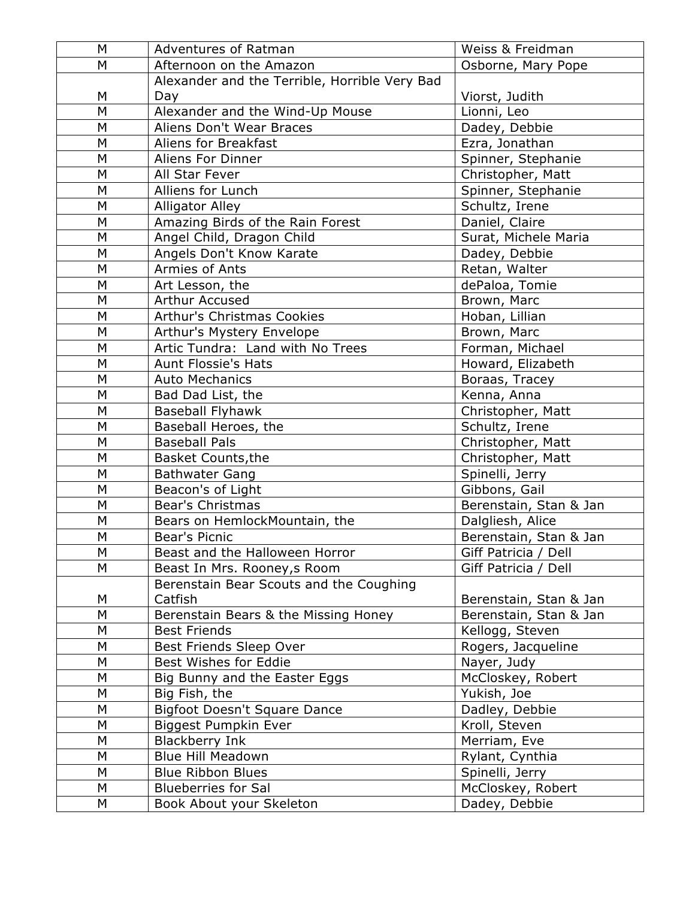| M         | <b>Adventures of Ratman</b>                      | Weiss & Freidman                 |
|-----------|--------------------------------------------------|----------------------------------|
| M         | Afternoon on the Amazon                          | Osborne, Mary Pope               |
|           | Alexander and the Terrible, Horrible Very Bad    |                                  |
| M         | Day                                              | Viorst, Judith                   |
| M         | Alexander and the Wind-Up Mouse                  | Lionni, Leo                      |
| M         | Aliens Don't Wear Braces                         | Dadey, Debbie                    |
| M         | Aliens for Breakfast                             | Ezra, Jonathan                   |
| M         | <b>Aliens For Dinner</b>                         | Spinner, Stephanie               |
| M         | All Star Fever                                   | Christopher, Matt                |
| M         | Alliens for Lunch                                | Spinner, Stephanie               |
| M         | <b>Alligator Alley</b>                           | Schultz, Irene                   |
| M         | Amazing Birds of the Rain Forest                 | Daniel, Claire                   |
| M         | Angel Child, Dragon Child                        | Surat, Michele Maria             |
| M         | Angels Don't Know Karate                         | Dadey, Debbie                    |
| M         | Armies of Ants                                   | Retan, Walter                    |
| M         | Art Lesson, the                                  | dePaloa, Tomie                   |
| M         | Arthur Accused                                   | Brown, Marc                      |
| M         | Arthur's Christmas Cookies                       | Hoban, Lillian                   |
| M         | Arthur's Mystery Envelope                        | Brown, Marc                      |
| M         | Artic Tundra: Land with No Trees                 | Forman, Michael                  |
| M         | <b>Aunt Flossie's Hats</b>                       | Howard, Elizabeth                |
| M         | <b>Auto Mechanics</b>                            | Boraas, Tracey                   |
| M         | Bad Dad List, the                                | Kenna, Anna                      |
| M         | <b>Baseball Flyhawk</b>                          | Christopher, Matt                |
| M         | Baseball Heroes, the                             | Schultz, Irene                   |
| M         | <b>Baseball Pals</b>                             | Christopher, Matt                |
| M         | <b>Basket Counts, the</b>                        | Christopher, Matt                |
| M         | <b>Bathwater Gang</b>                            | Spinelli, Jerry                  |
| M         | Beacon's of Light                                | Gibbons, Gail                    |
| M         | Bear's Christmas                                 | Berenstain, Stan & Jan           |
| M         | Bears on HemlockMountain, the                    | Dalgliesh, Alice                 |
| M         | Bear's Picnic                                    | Berenstain, Stan & Jan           |
| ${\sf M}$ | Beast and the Halloween Horror                   | Giff Patricia / Dell             |
| Μ         | Beast In Mrs. Rooney, s Room                     | Giff Patricia / Dell             |
|           | Berenstain Bear Scouts and the Coughing          |                                  |
| M         | Catfish                                          | Berenstain, Stan & Jan           |
| M         | Berenstain Bears & the Missing Honey             | Berenstain, Stan & Jan           |
| M<br>M    | <b>Best Friends</b>                              | Kellogg, Steven                  |
|           | Best Friends Sleep Over<br>Best Wishes for Eddie | Rogers, Jacqueline               |
| M<br>М    |                                                  | Nayer, Judy<br>McCloskey, Robert |
| M         | Big Bunny and the Easter Eggs<br>Big Fish, the   | Yukish, Joe                      |
| М         | Bigfoot Doesn't Square Dance                     | Dadley, Debbie                   |
| M         | Biggest Pumpkin Ever                             | Kroll, Steven                    |
| M         | <b>Blackberry Ink</b>                            | Merriam, Eve                     |
| Μ         | <b>Blue Hill Meadown</b>                         | Rylant, Cynthia                  |
| M         | <b>Blue Ribbon Blues</b>                         | Spinelli, Jerry                  |
| M         | <b>Blueberries for Sal</b>                       | McCloskey, Robert                |
| Μ         |                                                  | Dadey, Debbie                    |
|           | Book About your Skeleton                         |                                  |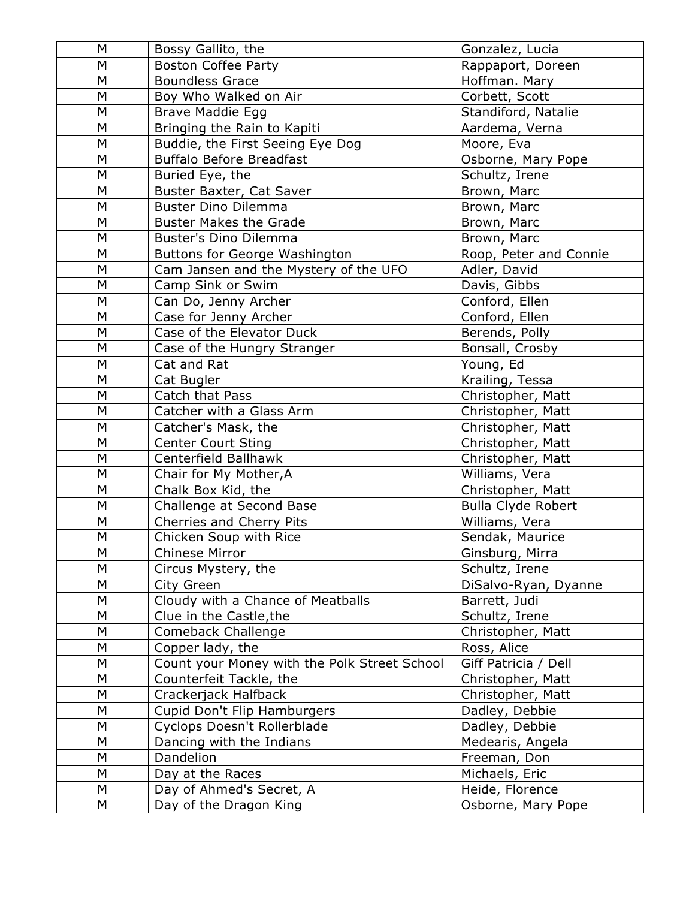| M         | Bossy Gallito, the                           | Gonzalez, Lucia           |
|-----------|----------------------------------------------|---------------------------|
| M         | <b>Boston Coffee Party</b>                   | Rappaport, Doreen         |
| M         | <b>Boundless Grace</b>                       | Hoffman. Mary             |
| M         | Boy Who Walked on Air                        | Corbett, Scott            |
| M         | <b>Brave Maddie Egg</b>                      | Standiford, Natalie       |
| M         | Bringing the Rain to Kapiti                  | Aardema, Verna            |
| M         | Buddie, the First Seeing Eye Dog             | Moore, Eva                |
| M         | <b>Buffalo Before Breadfast</b>              | Osborne, Mary Pope        |
| M         | Buried Eye, the                              | Schultz, Irene            |
| M         | Buster Baxter, Cat Saver                     | Brown, Marc               |
| M         | <b>Buster Dino Dilemma</b>                   | Brown, Marc               |
| M         | <b>Buster Makes the Grade</b>                | Brown, Marc               |
| M         | Buster's Dino Dilemma                        | Brown, Marc               |
| M         | <b>Buttons for George Washington</b>         | Roop, Peter and Connie    |
| M         | Cam Jansen and the Mystery of the UFO        | Adler, David              |
| M         | Camp Sink or Swim                            | Davis, Gibbs              |
| M         | Can Do, Jenny Archer                         | Conford, Ellen            |
| M         | Case for Jenny Archer                        | Conford, Ellen            |
| M         | Case of the Elevator Duck                    | Berends, Polly            |
| M         | Case of the Hungry Stranger                  | Bonsall, Crosby           |
| M         | Cat and Rat                                  | Young, Ed                 |
| M         | Cat Bugler                                   | Krailing, Tessa           |
| M         | Catch that Pass                              | Christopher, Matt         |
| M         | Catcher with a Glass Arm                     | Christopher, Matt         |
| M         | Catcher's Mask, the                          | Christopher, Matt         |
| M         | <b>Center Court Sting</b>                    | Christopher, Matt         |
| M         | Centerfield Ballhawk                         | Christopher, Matt         |
| M         | Chair for My Mother, A                       | Williams, Vera            |
| M         | Chalk Box Kid, the                           | Christopher, Matt         |
| M         | Challenge at Second Base                     | <b>Bulla Clyde Robert</b> |
| M         | Cherries and Cherry Pits                     | Williams, Vera            |
| M         | Chicken Soup with Rice                       | Sendak, Maurice           |
| M         | Chinese Mirror                               | Ginsburg, Mirra           |
| M         | Circus Mystery, the                          | Schultz, Irene            |
| M         | City Green                                   | DiSalvo-Ryan, Dyanne      |
| M         | Cloudy with a Chance of Meatballs            | Barrett, Judi             |
| ${\sf M}$ | Clue in the Castle, the                      | Schultz, Irene            |
| M         | Comeback Challenge                           | Christopher, Matt         |
| M         | Copper lady, the                             | Ross, Alice               |
| M         | Count your Money with the Polk Street School | Giff Patricia / Dell      |
| M         | Counterfeit Tackle, the                      | Christopher, Matt         |
| M         | Crackerjack Halfback                         | Christopher, Matt         |
| M         | Cupid Don't Flip Hamburgers                  | Dadley, Debbie            |
| M         | Cyclops Doesn't Rollerblade                  | Dadley, Debbie            |
| M         | Dancing with the Indians                     | Medearis, Angela          |
| M         | Dandelion                                    | Freeman, Don              |
| M         | Day at the Races                             | Michaels, Eric            |
| M         | Day of Ahmed's Secret, A                     | Heide, Florence           |
| M         | Day of the Dragon King                       | Osborne, Mary Pope        |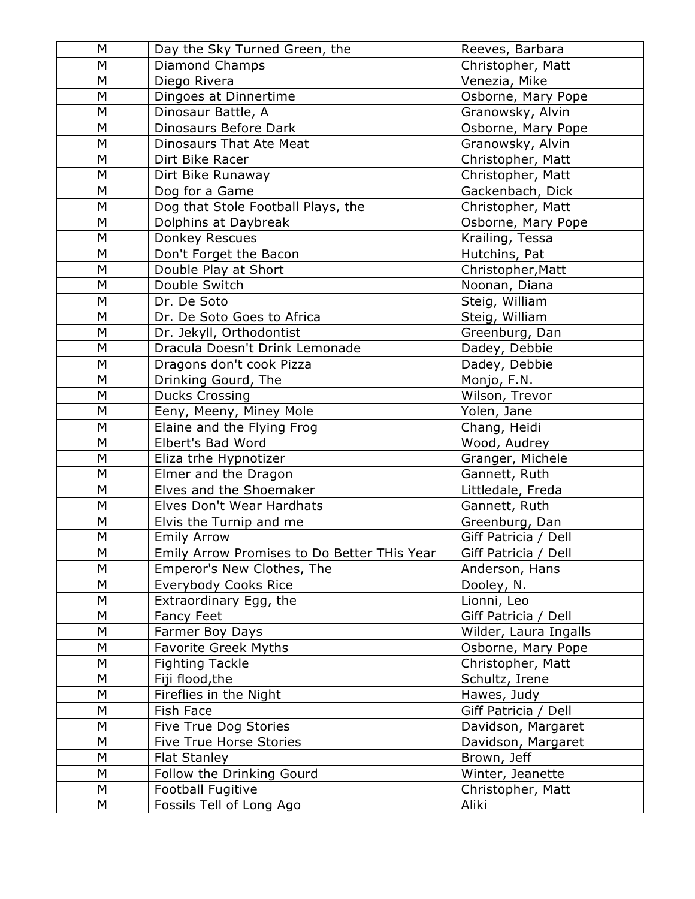| M      | Day the Sky Turned Green, the                   | Reeves, Barbara                 |
|--------|-------------------------------------------------|---------------------------------|
| M      | Diamond Champs                                  | Christopher, Matt               |
| M      | Diego Rivera                                    | Venezia, Mike                   |
| M      | Dingoes at Dinnertime                           | Osborne, Mary Pope              |
| M      | Dinosaur Battle, A                              | Granowsky, Alvin                |
| M      | Dinosaurs Before Dark                           | Osborne, Mary Pope              |
| M      | <b>Dinosaurs That Ate Meat</b>                  | Granowsky, Alvin                |
| M      | Dirt Bike Racer                                 | Christopher, Matt               |
| M      | Dirt Bike Runaway                               | Christopher, Matt               |
| M      | Dog for a Game                                  | Gackenbach, Dick                |
| M      | Dog that Stole Football Plays, the              | Christopher, Matt               |
| M      | Dolphins at Daybreak                            | Osborne, Mary Pope              |
| M      | Donkey Rescues                                  | Krailing, Tessa                 |
| M      | Don't Forget the Bacon                          | Hutchins, Pat                   |
| M      | Double Play at Short                            | Christopher, Matt               |
| M      | Double Switch                                   | Noonan, Diana                   |
| M      | Dr. De Soto                                     | Steig, William                  |
| M      | Dr. De Soto Goes to Africa                      | Steig, William                  |
| M      | Dr. Jekyll, Orthodontist                        | Greenburg, Dan                  |
| M      | Dracula Doesn't Drink Lemonade                  | Dadey, Debbie                   |
| M      | Dragons don't cook Pizza                        | Dadey, Debbie                   |
| M      | Drinking Gourd, The                             | Monjo, F.N.                     |
| M      | <b>Ducks Crossing</b>                           | Wilson, Trevor                  |
| M      | Eeny, Meeny, Miney Mole                         | Yolen, Jane                     |
| M      | Elaine and the Flying Frog                      | Chang, Heidi                    |
| M      | Elbert's Bad Word                               | Wood, Audrey                    |
| M      | Eliza trhe Hypnotizer                           | Granger, Michele                |
| M<br>M | Elmer and the Dragon<br>Elves and the Shoemaker | Gannett, Ruth                   |
| M      | Elves Don't Wear Hardhats                       | Littledale, Freda               |
| M      | Elvis the Turnip and me                         | Gannett, Ruth<br>Greenburg, Dan |
| M      | <b>Emily Arrow</b>                              | Giff Patricia / Dell            |
| M      | Emily Arrow Promises to Do Better THis Year     | Giff Patricia / Dell            |
| М      | Emperor's New Clothes, The                      | Anderson, Hans                  |
| M      | Everybody Cooks Rice                            | Dooley, N.                      |
| Μ      | Extraordinary Egg, the                          | Lionni, Leo                     |
| M      | <b>Fancy Feet</b>                               | Giff Patricia / Dell            |
| M      | Farmer Boy Days                                 | Wilder, Laura Ingalls           |
| M      | <b>Favorite Greek Myths</b>                     | Osborne, Mary Pope              |
| M      | <b>Fighting Tackle</b>                          | Christopher, Matt               |
| M      | Fiji flood, the                                 | Schultz, Irene                  |
| M      | Fireflies in the Night                          | Hawes, Judy                     |
| M      | Fish Face                                       | Giff Patricia / Dell            |
| M      | Five True Dog Stories                           | Davidson, Margaret              |
| M      | Five True Horse Stories                         | Davidson, Margaret              |
| M      | <b>Flat Stanley</b>                             | Brown, Jeff                     |
| M      | Follow the Drinking Gourd                       | Winter, Jeanette                |
| M      | Football Fugitive                               | Christopher, Matt               |
| М      | Fossils Tell of Long Ago                        | Aliki                           |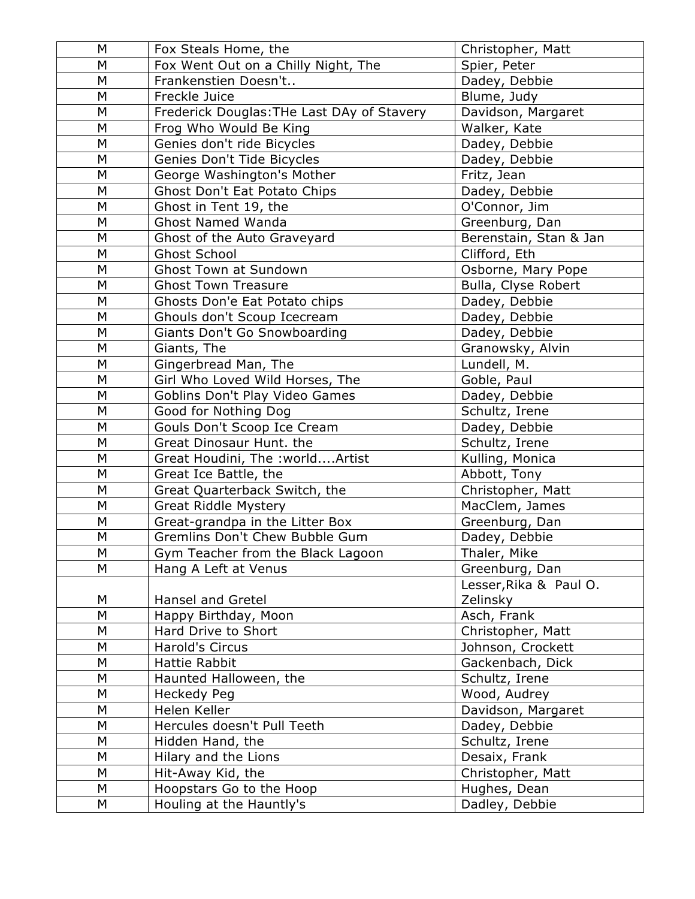| M         | Fox Steals Home, the                                              | Christopher, Matt               |
|-----------|-------------------------------------------------------------------|---------------------------------|
| M         | Fox Went Out on a Chilly Night, The                               | Spier, Peter                    |
| M         | Frankenstien Doesn't                                              | Dadey, Debbie                   |
| M         | Freckle Juice                                                     | Blume, Judy                     |
| M         | Frederick Douglas: THe Last DAy of Stavery                        | Davidson, Margaret              |
| M         | Frog Who Would Be King                                            | Walker, Kate                    |
| M         | Genies don't ride Bicycles                                        | Dadey, Debbie                   |
| M         | Genies Don't Tide Bicycles                                        | Dadey, Debbie                   |
| M         | George Washington's Mother                                        | Fritz, Jean                     |
| M         | Ghost Don't Eat Potato Chips                                      | Dadey, Debbie                   |
| M         | Ghost in Tent 19, the                                             | O'Connor, Jim                   |
| M         | <b>Ghost Named Wanda</b>                                          | Greenburg, Dan                  |
| M         | Ghost of the Auto Graveyard                                       | Berenstain, Stan & Jan          |
| M         | <b>Ghost School</b>                                               | Clifford, Eth                   |
| M         | <b>Ghost Town at Sundown</b>                                      | Osborne, Mary Pope              |
| M         | <b>Ghost Town Treasure</b>                                        | Bulla, Clyse Robert             |
| M         | Ghosts Don'e Eat Potato chips                                     | Dadey, Debbie                   |
| M         | Ghouls don't Scoup Icecream                                       | Dadey, Debbie                   |
| M         | Giants Don't Go Snowboarding                                      | Dadey, Debbie                   |
| M         | Giants, The                                                       | Granowsky, Alvin                |
| M         | Gingerbread Man, The                                              | Lundell, M.                     |
| M         | Girl Who Loved Wild Horses, The                                   | Goble, Paul                     |
| M         | Goblins Don't Play Video Games                                    | Dadey, Debbie                   |
| M         | Good for Nothing Dog                                              | Schultz, Irene                  |
| M         | Gouls Don't Scoop Ice Cream                                       | Dadey, Debbie                   |
| M         | Great Dinosaur Hunt. the                                          | Schultz, Irene                  |
| M         | Great Houdini, The : worldArtist                                  | Kulling, Monica                 |
| M         | Great Ice Battle, the                                             | Abbott, Tony                    |
| M         | Great Quarterback Switch, the                                     | Christopher, Matt               |
| M<br>M    | <b>Great Riddle Mystery</b>                                       | MacClem, James                  |
| ${\sf M}$ | Great-grandpa in the Litter Box<br>Gremlins Don't Chew Bubble Gum | Greenburg, Dan<br>Dadey, Debbie |
| ${\sf M}$ |                                                                   | Thaler, Mike                    |
| M         | Gym Teacher from the Black Lagoon<br>Hang A Left at Venus         | Greenburg, Dan                  |
|           |                                                                   | Lesser, Rika & Paul O.          |
| М         | Hansel and Gretel                                                 | Zelinsky                        |
| M         | Happy Birthday, Moon                                              | Asch, Frank                     |
| M         | Hard Drive to Short                                               | Christopher, Matt               |
| M         | Harold's Circus                                                   | Johnson, Crockett               |
| M         | <b>Hattie Rabbit</b>                                              | Gackenbach, Dick                |
| M         | Haunted Halloween, the                                            | Schultz, Irene                  |
| M         | <b>Heckedy Peg</b>                                                | Wood, Audrey                    |
| ${\sf M}$ | Helen Keller                                                      | Davidson, Margaret              |
| M         | Hercules doesn't Pull Teeth                                       | Dadey, Debbie                   |
| M         | Hidden Hand, the                                                  | Schultz, Irene                  |
| M         | Hilary and the Lions                                              | Desaix, Frank                   |
| M         | Hit-Away Kid, the                                                 | Christopher, Matt               |
| M         | Hoopstars Go to the Hoop                                          | Hughes, Dean                    |
| М         | Houling at the Hauntly's                                          | Dadley, Debbie                  |
|           |                                                                   |                                 |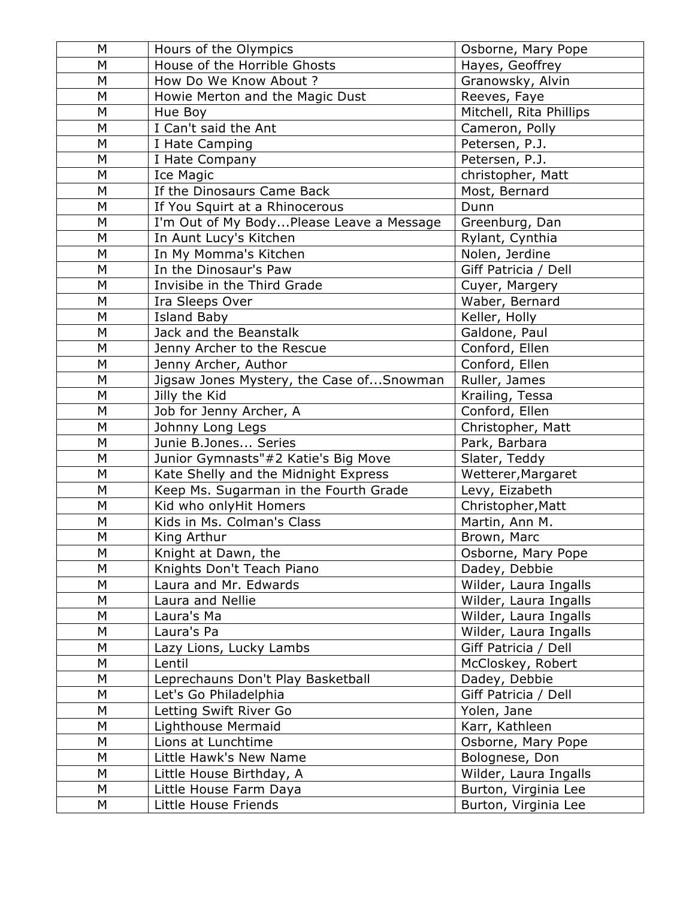| M | Hours of the Olympics                    | Osborne, Mary Pope      |
|---|------------------------------------------|-------------------------|
| M | House of the Horrible Ghosts             | Hayes, Geoffrey         |
| M | How Do We Know About ?                   | Granowsky, Alvin        |
| M | Howie Merton and the Magic Dust          | Reeves, Faye            |
| M | Hue Boy                                  | Mitchell, Rita Phillips |
| M | I Can't said the Ant                     | Cameron, Polly          |
| M | I Hate Camping                           | Petersen, P.J.          |
| M | I Hate Company                           | Petersen, P.J.          |
| М | Ice Magic                                | christopher, Matt       |
| M | If the Dinosaurs Came Back               | Most, Bernard           |
| M | If You Squirt at a Rhinocerous           | Dunn                    |
| М | I'm Out of My BodyPlease Leave a Message | Greenburg, Dan          |
| M | In Aunt Lucy's Kitchen                   | Rylant, Cynthia         |
| M | In My Momma's Kitchen                    | Nolen, Jerdine          |
| M | In the Dinosaur's Paw                    | Giff Patricia / Dell    |
| М | Invisibe in the Third Grade              | Cuyer, Margery          |
| M | Ira Sleeps Over                          | Waber, Bernard          |
| M | <b>Island Baby</b>                       | Keller, Holly           |
| M | Jack and the Beanstalk                   | Galdone, Paul           |
| M | Jenny Archer to the Rescue               | Conford, Ellen          |
| M | Jenny Archer, Author                     | Conford, Ellen          |
| М | Jigsaw Jones Mystery, the Case ofSnowman | Ruller, James           |
| M | Jilly the Kid                            | Krailing, Tessa         |
| М | Job for Jenny Archer, A                  | Conford, Ellen          |
| M | Johnny Long Legs                         | Christopher, Matt       |
| M | Junie B.Jones Series                     | Park, Barbara           |
| M | Junior Gymnasts"#2 Katie's Big Move      | Slater, Teddy           |
| М | Kate Shelly and the Midnight Express     | Wetterer, Margaret      |
| M | Keep Ms. Sugarman in the Fourth Grade    | Levy, Eizabeth          |
| M | Kid who onlyHit Homers                   | Christopher, Matt       |
| М | Kids in Ms. Colman's Class               | Martin, Ann M.          |
| M | King Arthur                              | Brown, Marc             |
| М | Knight at Dawn, the                      | Osborne, Mary Pope      |
| М | Knights Don't Teach Piano                | Dadey, Debbie           |
| М | Laura and Mr. Edwards                    | Wilder, Laura Ingalls   |
| M | Laura and Nellie                         | Wilder, Laura Ingalls   |
| Μ | Laura's Ma                               | Wilder, Laura Ingalls   |
| Μ | Laura's Pa                               | Wilder, Laura Ingalls   |
| M | Lazy Lions, Lucky Lambs                  | Giff Patricia / Dell    |
| М | Lentil                                   | McCloskey, Robert       |
| М | Leprechauns Don't Play Basketball        | Dadey, Debbie           |
| M | Let's Go Philadelphia                    | Giff Patricia / Dell    |
| М | Letting Swift River Go                   | Yolen, Jane             |
| Μ | Lighthouse Mermaid                       | Karr, Kathleen          |
| M | Lions at Lunchtime                       | Osborne, Mary Pope      |
| М | Little Hawk's New Name                   | Bolognese, Don          |
| Μ | Little House Birthday, A                 | Wilder, Laura Ingalls   |
| М | Little House Farm Daya                   | Burton, Virginia Lee    |
| М | Little House Friends                     | Burton, Virginia Lee    |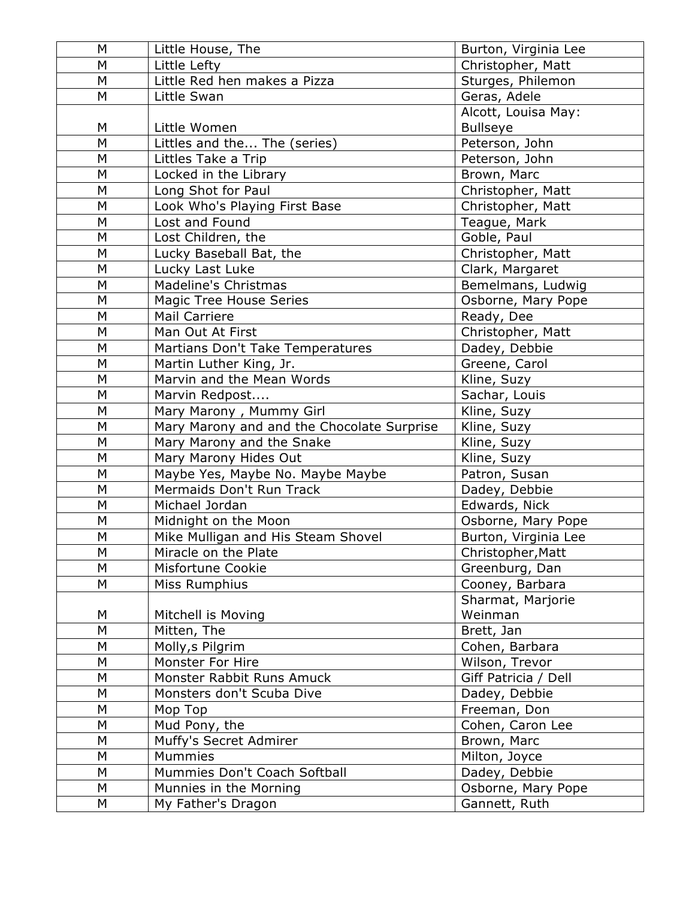| M | Little House, The                          | Burton, Virginia Lee |
|---|--------------------------------------------|----------------------|
| M | Little Lefty                               | Christopher, Matt    |
| M | Little Red hen makes a Pizza               | Sturges, Philemon    |
| M | Little Swan                                | Geras, Adele         |
|   |                                            | Alcott, Louisa May:  |
| М | Little Women                               | <b>Bullseye</b>      |
| M | Littles and the The (series)               | Peterson, John       |
| M | Littles Take a Trip                        | Peterson, John       |
| М | Locked in the Library                      | Brown, Marc          |
| M | Long Shot for Paul                         | Christopher, Matt    |
| M | Look Who's Playing First Base              | Christopher, Matt    |
| M | Lost and Found                             | Teague, Mark         |
| M | Lost Children, the                         | Goble, Paul          |
| M | Lucky Baseball Bat, the                    | Christopher, Matt    |
| M | Lucky Last Luke                            | Clark, Margaret      |
| М | Madeline's Christmas                       | Bemelmans, Ludwig    |
| M | Magic Tree House Series                    | Osborne, Mary Pope   |
| M | <b>Mail Carriere</b>                       | Ready, Dee           |
| М | Man Out At First                           | Christopher, Matt    |
| M | Martians Don't Take Temperatures           | Dadey, Debbie        |
| M | Martin Luther King, Jr.                    | Greene, Carol        |
| М | Marvin and the Mean Words                  | Kline, Suzy          |
| M | Marvin Redpost                             | Sachar, Louis        |
| M | Mary Marony, Mummy Girl                    | Kline, Suzy          |
| М | Mary Marony and and the Chocolate Surprise | Kline, Suzy          |
| M | Mary Marony and the Snake                  | Kline, Suzy          |
| M | Mary Marony Hides Out                      | Kline, Suzy          |
| M | Maybe Yes, Maybe No. Maybe Maybe           | Patron, Susan        |
| М | Mermaids Don't Run Track                   | Dadey, Debbie        |
| M | Michael Jordan                             | Edwards, Nick        |
| M | Midnight on the Moon                       | Osborne, Mary Pope   |
| M | Mike Mulligan and His Steam Shovel         | Burton, Virginia Lee |
| M | Miracle on the Plate                       | Christopher, Matt    |
| M | Misfortune Cookie                          | Greenburg, Dan       |
| М | Miss Rumphius                              | Cooney, Barbara      |
|   |                                            | Sharmat, Marjorie    |
| М | Mitchell is Moving                         | Weinman              |
| M | Mitten, The                                | Brett, Jan           |
| М | Molly, s Pilgrim                           | Cohen, Barbara       |
| М | Monster For Hire                           | Wilson, Trevor       |
| M | Monster Rabbit Runs Amuck                  | Giff Patricia / Dell |
| M | Monsters don't Scuba Dive                  | Dadey, Debbie        |
| М | Mop Top                                    | Freeman, Don         |
| M | Mud Pony, the                              | Cohen, Caron Lee     |
| М | Muffy's Secret Admirer                     | Brown, Marc          |
| M | Mummies                                    | Milton, Joyce        |
| М | Mummies Don't Coach Softball               | Dadey, Debbie        |
| M | Munnies in the Morning                     | Osborne, Mary Pope   |
| M | My Father's Dragon                         | Gannett, Ruth        |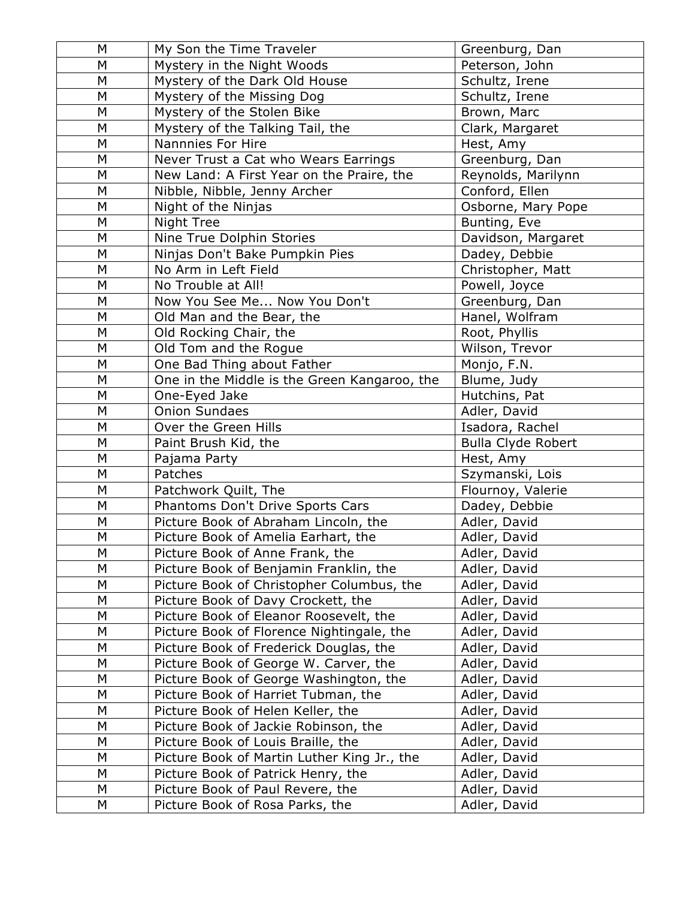| M         | My Son the Time Traveler                     | Greenburg, Dan            |
|-----------|----------------------------------------------|---------------------------|
| M         | Mystery in the Night Woods                   | Peterson, John            |
| M         | Mystery of the Dark Old House                | Schultz, Irene            |
| M         | Mystery of the Missing Dog                   | Schultz, Irene            |
| M         | Mystery of the Stolen Bike                   | Brown, Marc               |
| M         | Mystery of the Talking Tail, the             | Clark, Margaret           |
| M         | Nannnies For Hire                            | Hest, Amy                 |
| M         | Never Trust a Cat who Wears Earrings         | Greenburg, Dan            |
| M         | New Land: A First Year on the Praire, the    | Reynolds, Marilynn        |
| M         | Nibble, Nibble, Jenny Archer                 | Conford, Ellen            |
| M         | Night of the Ninjas                          | Osborne, Mary Pope        |
| M         | Night Tree                                   | Bunting, Eve              |
| M         | Nine True Dolphin Stories                    | Davidson, Margaret        |
| M         | Ninjas Don't Bake Pumpkin Pies               | Dadey, Debbie             |
| M         | No Arm in Left Field                         | Christopher, Matt         |
| M         | No Trouble at All!                           | Powell, Joyce             |
| M         | Now You See Me Now You Don't                 | Greenburg, Dan            |
| M         | Old Man and the Bear, the                    | Hanel, Wolfram            |
| M         | Old Rocking Chair, the                       | Root, Phyllis             |
| M         | Old Tom and the Rogue                        | Wilson, Trevor            |
| M         | One Bad Thing about Father                   | Monjo, F.N.               |
| M         | One in the Middle is the Green Kangaroo, the | Blume, Judy               |
| M         | One-Eyed Jake                                | Hutchins, Pat             |
| M         | <b>Onion Sundaes</b>                         | Adler, David              |
| M         | Over the Green Hills                         | Isadora, Rachel           |
| M         | Paint Brush Kid, the                         | <b>Bulla Clyde Robert</b> |
| M         | Pajama Party                                 | Hest, Amy                 |
| M         | Patches                                      | Szymanski, Lois           |
| M         | Patchwork Quilt, The                         | Flournoy, Valerie         |
| M         | Phantoms Don't Drive Sports Cars             | Dadey, Debbie             |
| M         | Picture Book of Abraham Lincoln, the         | Adler, David              |
| ${\sf M}$ | Picture Book of Amelia Earhart, the          | Adler, David              |
| ${\sf M}$ | Picture Book of Anne Frank, the              | Adler, David              |
| M         | Picture Book of Benjamin Franklin, the       | Adler, David              |
| M         | Picture Book of Christopher Columbus, the    | Adler, David              |
| M         | Picture Book of Davy Crockett, the           | Adler, David              |
| M         | Picture Book of Eleanor Roosevelt, the       | Adler, David              |
| M         | Picture Book of Florence Nightingale, the    | Adler, David              |
| M         | Picture Book of Frederick Douglas, the       | Adler, David              |
| M         | Picture Book of George W. Carver, the        | Adler, David              |
| M         | Picture Book of George Washington, the       | Adler, David              |
| M         | Picture Book of Harriet Tubman, the          | Adler, David              |
| M         | Picture Book of Helen Keller, the            | Adler, David              |
| M         | Picture Book of Jackie Robinson, the         | Adler, David              |
| M         | Picture Book of Louis Braille, the           | Adler, David              |
| M         | Picture Book of Martin Luther King Jr., the  | Adler, David              |
| M         | Picture Book of Patrick Henry, the           | Adler, David              |
| M         | Picture Book of Paul Revere, the             | Adler, David              |
| М         | Picture Book of Rosa Parks, the              | Adler, David              |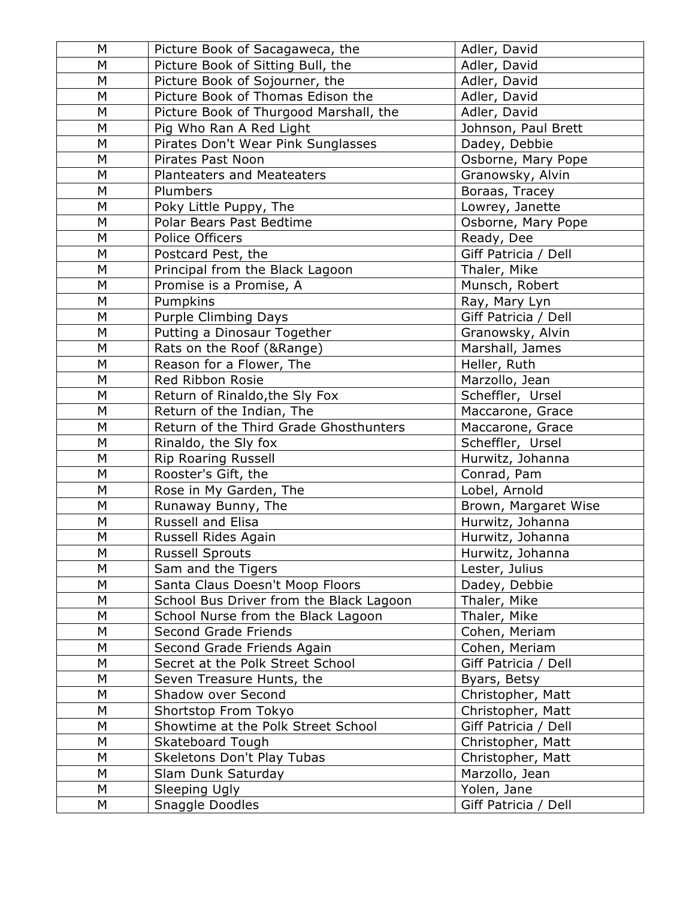| M         | Picture Book of Sacagaweca, the         | Adler, David         |
|-----------|-----------------------------------------|----------------------|
| M         | Picture Book of Sitting Bull, the       | Adler, David         |
| M         | Picture Book of Sojourner, the          | Adler, David         |
| M         | Picture Book of Thomas Edison the       | Adler, David         |
| M         | Picture Book of Thurgood Marshall, the  | Adler, David         |
| M         | Pig Who Ran A Red Light                 | Johnson, Paul Brett  |
| M         | Pirates Don't Wear Pink Sunglasses      | Dadey, Debbie        |
| M         | Pirates Past Noon                       | Osborne, Mary Pope   |
| M         | <b>Planteaters and Meateaters</b>       | Granowsky, Alvin     |
| M         | Plumbers                                | Boraas, Tracey       |
| M         | Poky Little Puppy, The                  | Lowrey, Janette      |
| M         | Polar Bears Past Bedtime                | Osborne, Mary Pope   |
| M         | Police Officers                         | Ready, Dee           |
| M         | Postcard Pest, the                      | Giff Patricia / Dell |
| M         | Principal from the Black Lagoon         | Thaler, Mike         |
| M         | Promise is a Promise, A                 | Munsch, Robert       |
| M         | Pumpkins                                | Ray, Mary Lyn        |
| M         | <b>Purple Climbing Days</b>             | Giff Patricia / Dell |
| M         | Putting a Dinosaur Together             | Granowsky, Alvin     |
| M         | Rats on the Roof (&Range)               | Marshall, James      |
| M         | Reason for a Flower, The                | Heller, Ruth         |
| M         | Red Ribbon Rosie                        | Marzollo, Jean       |
| M         | Return of Rinaldo, the Sly Fox          | Scheffler, Ursel     |
| M         | Return of the Indian, The               | Maccarone, Grace     |
| M         | Return of the Third Grade Ghosthunters  | Maccarone, Grace     |
| M         | Rinaldo, the Sly fox                    | Scheffler, Ursel     |
| M         | Rip Roaring Russell                     | Hurwitz, Johanna     |
| M         | Rooster's Gift, the                     | Conrad, Pam          |
| M         | Rose in My Garden, The                  | Lobel, Arnold        |
| M         | Runaway Bunny, The                      | Brown, Margaret Wise |
| M         | Russell and Elisa                       | Hurwitz, Johanna     |
| M         | Russell Rides Again                     | Hurwitz, Johanna     |
| M         | <b>Russell Sprouts</b>                  | Hurwitz, Johanna     |
| M         | Sam and the Tigers                      | Lester, Julius       |
| M         | Santa Claus Doesn't Moop Floors         | Dadey, Debbie        |
| M         | School Bus Driver from the Black Lagoon | Thaler, Mike         |
| ${\sf M}$ | School Nurse from the Black Lagoon      | Thaler, Mike         |
| M         | Second Grade Friends                    | Cohen, Meriam        |
| M         | Second Grade Friends Again              | Cohen, Meriam        |
| M         | Secret at the Polk Street School        | Giff Patricia / Dell |
| M         | Seven Treasure Hunts, the               | Byars, Betsy         |
| M         | Shadow over Second                      | Christopher, Matt    |
| M         | Shortstop From Tokyo                    | Christopher, Matt    |
| M         | Showtime at the Polk Street School      | Giff Patricia / Dell |
| M         | Skateboard Tough                        | Christopher, Matt    |
| M         | Skeletons Don't Play Tubas              | Christopher, Matt    |
| ${\sf M}$ | Slam Dunk Saturday                      | Marzollo, Jean       |
| M         | Sleeping Ugly                           | Yolen, Jane          |
| M         | Snaggle Doodles                         | Giff Patricia / Dell |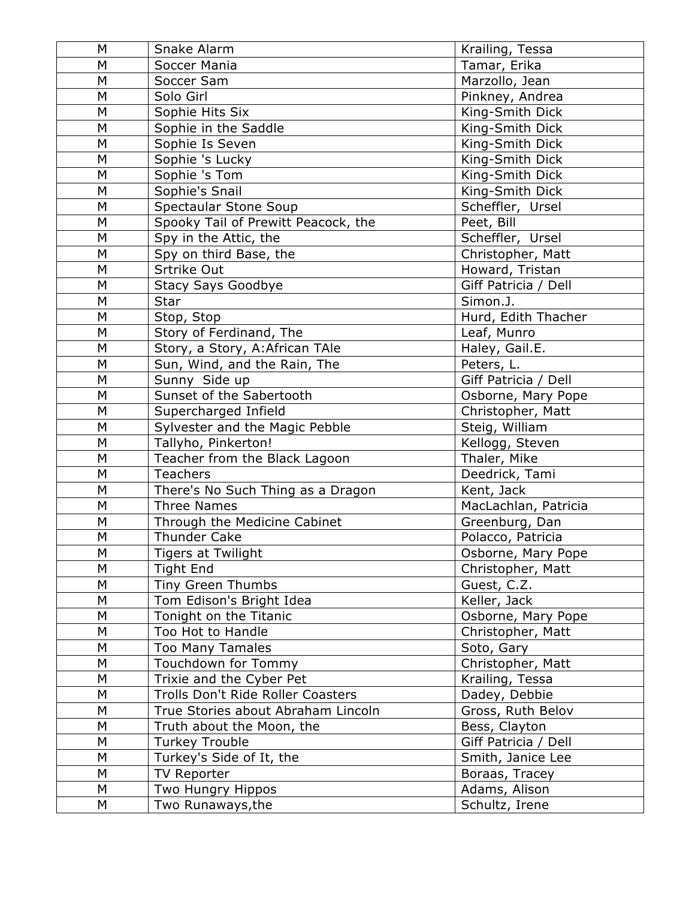| M | Snake Alarm                         | Krailing, Tessa      |
|---|-------------------------------------|----------------------|
| M | Soccer Mania                        | Tamar, Erika         |
| M | Soccer Sam                          | Marzollo, Jean       |
| M | Solo Girl                           | Pinkney, Andrea      |
| M | Sophie Hits Six                     | King-Smith Dick      |
| M | Sophie in the Saddle                | King-Smith Dick      |
| M | Sophie Is Seven                     | King-Smith Dick      |
| M | Sophie 's Lucky                     | King-Smith Dick      |
| M | Sophie 's Tom                       | King-Smith Dick      |
| M | Sophie's Snail                      | King-Smith Dick      |
| M | <b>Spectaular Stone Soup</b>        | Scheffler, Ursel     |
| M | Spooky Tail of Prewitt Peacock, the | Peet, Bill           |
| M | Spy in the Attic, the               | Scheffler, Ursel     |
| M | Spy on third Base, the              | Christopher, Matt    |
| M | Srtrike Out                         | Howard, Tristan      |
| M | <b>Stacy Says Goodbye</b>           | Giff Patricia / Dell |
| M | Star                                | Simon.J.             |
| M | Stop, Stop                          | Hurd, Edith Thacher  |
| M | Story of Ferdinand, The             | Leaf, Munro          |
| M | Story, a Story, A: African TAle     | Haley, Gail.E.       |
| M | Sun, Wind, and the Rain, The        | Peters, L.           |
| M | Sunny Side up                       | Giff Patricia / Dell |
| M | Sunset of the Sabertooth            | Osborne, Mary Pope   |
| M | Supercharged Infield                | Christopher, Matt    |
| M | Sylvester and the Magic Pebble      | Steig, William       |
| M | Tallyho, Pinkerton!                 | Kellogg, Steven      |
| M | Teacher from the Black Lagoon       | Thaler, Mike         |
| M | <b>Teachers</b>                     | Deedrick, Tami       |
| M | There's No Such Thing as a Dragon   | Kent, Jack           |
| M | <b>Three Names</b>                  | MacLachlan, Patricia |
| M | Through the Medicine Cabinet        | Greenburg, Dan       |
| M | <b>Thunder Cake</b>                 | Polacco, Patricia    |
| M | <b>Tigers at Twilight</b>           | Osborne, Mary Pope   |
| M | <b>Tight End</b>                    | Christopher, Matt    |
| M | Tiny Green Thumbs                   | Guest, C.Z.          |
| M | Tom Edison's Bright Idea            | Keller, Jack         |
| M | Tonight on the Titanic              | Osborne, Mary Pope   |
| M | Too Hot to Handle                   | Christopher, Matt    |
| M | <b>Too Many Tamales</b>             | Soto, Gary           |
| M | Touchdown for Tommy                 | Christopher, Matt    |
| M | Trixie and the Cyber Pet            | Krailing, Tessa      |
| M | Trolls Don't Ride Roller Coasters   | Dadey, Debbie        |
| M | True Stories about Abraham Lincoln  | Gross, Ruth Belov    |
| M | Truth about the Moon, the           | Bess, Clayton        |
| M | <b>Turkey Trouble</b>               | Giff Patricia / Dell |
| M | Turkey's Side of It, the            | Smith, Janice Lee    |
| M | <b>TV Reporter</b>                  | Boraas, Tracey       |
| M | Two Hungry Hippos                   | Adams, Alison        |
| M | Two Runaways, the                   | Schultz, Irene       |